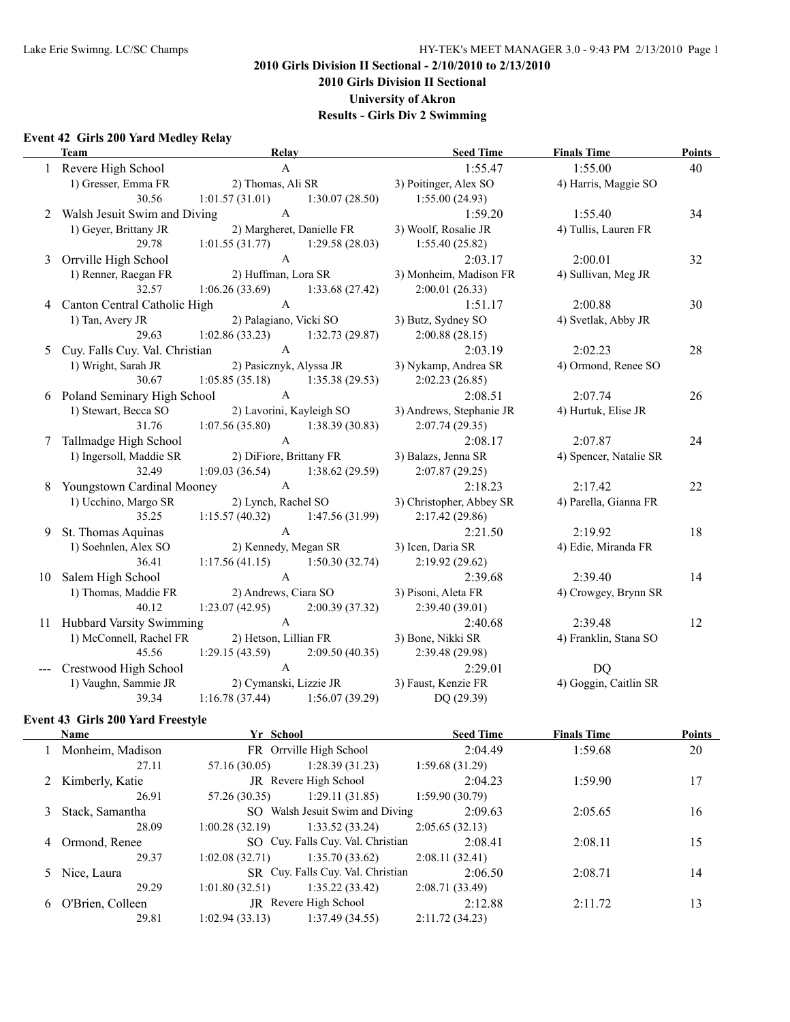**2010 Girls Division II Sectional**

**University of Akron**

**Results - Girls Div 2 Swimming**

## **Event 42 Girls 200 Yard Medley Relay**

|   | <b>Team</b>                       | <b>Relay</b>                      |                           | <b>Seed Time</b>         | <b>Finals Time</b>     | <b>Points</b> |
|---|-----------------------------------|-----------------------------------|---------------------------|--------------------------|------------------------|---------------|
|   | 1 Revere High School              | $\mathbf{A}$                      |                           | 1:55.47                  | 1:55.00                | 40            |
|   | 1) Gresser, Emma FR               | 2) Thomas, Ali SR                 |                           | 3) Poitinger, Alex SO    | 4) Harris, Maggie SO   |               |
|   | 30.56                             | 1:01.57 (31.01) 1:30.07 (28.50)   |                           | 1:55.00(24.93)           |                        |               |
|   | 2 Walsh Jesuit Swim and Diving    | $\mathbf{A}$                      |                           | 1:59.20                  | 1:55.40                | 34            |
|   | 1) Geyer, Brittany JR             |                                   | 2) Margheret, Danielle FR | 3) Woolf, Rosalie JR     | 4) Tullis, Lauren FR   |               |
|   | 29.78                             | $1:01.55(31.77)$ $1:29.58(28.03)$ |                           | 1:55.40(25.82)           |                        |               |
|   | 3 Orrville High School            | $\mathbf{A}$                      |                           | 2:03.17                  | 2:00.01                | 32            |
|   | 1) Renner, Raegan FR              | 2) Huffman, Lora SR               |                           | 3) Monheim, Madison FR   | 4) Sullivan, Meg JR    |               |
|   | 32.57                             | $1:06.26(33.69)$ $1:33.68(27.42)$ |                           | 2:00.01(26.33)           |                        |               |
|   | 4 Canton Central Catholic High    | $\mathbf{A}$                      |                           | 1:51.17                  | 2:00.88                | 30            |
|   | 1) Tan, Avery JR                  | 2) Palagiano, Vicki SO            |                           | 3) Butz, Sydney SO       | 4) Svetlak, Abby JR    |               |
|   | 29.63                             | 1:02.86(33.23)                    | 1:32.73(29.87)            | 2:00.88(28.15)           |                        |               |
|   | 5 Cuy. Falls Cuy. Val. Christian  | $\mathsf{A}$                      |                           | 2:03.19                  | 2:02.23                | 28            |
|   | 1) Wright, Sarah JR               |                                   | 2) Pasicznyk, Alyssa JR   | 3) Nykamp, Andrea SR     | 4) Ormond, Renee SO    |               |
|   | 30.67                             | 1:05.85(35.18)                    | 1:35.38(29.53)            | 2:02.23(26.85)           |                        |               |
|   | 6 Poland Seminary High School     | $\mathbf{A}$                      |                           | 2:08.51                  | 2:07.74                | 26            |
|   | 1) Stewart, Becca SO              |                                   | 2) Lavorini, Kayleigh SO  | 3) Andrews, Stephanie JR | 4) Hurtuk, Elise JR    |               |
|   | 31.76                             | 1:07.56(35.80)                    | 1:38.39(30.83)            | 2:07.74(29.35)           |                        |               |
|   | Tallmadge High School             | $\mathbf{A}$                      |                           | 2:08.17                  | 2:07.87                | 24            |
|   | 1) Ingersoll, Maddie SR           | 2) DiFiore, Brittany FR           |                           | 3) Balazs, Jenna SR      | 4) Spencer, Natalie SR |               |
|   | 32.49                             | 1:09.03(36.54)                    | 1:38.62(29.59)            | 2:07.87(29.25)           |                        |               |
|   | <b>Youngstown Cardinal Mooney</b> | $\mathbf{A}$                      |                           | 2:18.23                  | 2:17.42                | 22            |
|   | 1) Ucchino, Margo SR              |                                   | 2) Lynch, Rachel SO       | 3) Christopher, Abbey SR | 4) Parella, Gianna FR  |               |
|   | 35.25                             | 1:15.57(40.32)                    | 1:47.56 (31.99)           | 2:17.42(29.86)           |                        |               |
| 9 | St. Thomas Aquinas                | $\mathsf{A}$                      |                           | 2:21.50                  | 2:19.92                | 18            |
|   | 1) Soehnlen, Alex SO              |                                   | 2) Kennedy, Megan SR      | 3) Icen, Daria SR        | 4) Edie, Miranda FR    |               |
|   | 36.41                             | 1:17.56(41.15)                    | 1:50.30(32.74)            | 2:19.92(29.62)           |                        |               |
|   | 10 Salem High School              | $\mathsf{A}$                      |                           | 2:39.68                  | 2:39.40                | 14            |
|   | 1) Thomas, Maddie FR              | 2) Andrews, Ciara SO              |                           | 3) Pisoni, Aleta FR      | 4) Crowgey, Brynn SR   |               |
|   | 40.12                             | 1:23.07(42.95)                    | 2:00.39(37.32)            | 2:39.40(39.01)           |                        |               |
|   | 11 Hubbard Varsity Swimming       | $\mathbf{A}$                      |                           | 2:40.68                  | 2:39.48                | 12            |
|   | 1) McConnell, Rachel FR           | 2) Hetson, Lillian FR             |                           | 3) Bone, Nikki SR        | 4) Franklin, Stana SO  |               |
|   | 45.56                             | 1:29.15(43.59)                    | 2:09.50(40.35)            | 2:39.48 (29.98)          |                        |               |
|   | Crestwood High School             | $\mathbf{A}$                      |                           | 2:29.01                  | DQ                     |               |
|   | 1) Vaughn, Sammie JR              |                                   | 2) Cymanski, Lizzie JR    | 3) Faust, Kenzie FR      | 4) Goggin, Caitlin SR  |               |
|   | 39.34                             | $1:16.78(37.44)$ $1:56.07(39.29)$ |                           | DQ(29.39)                |                        |               |

## **Event 43 Girls 200 Yard Freestyle**

|   | Name             | Yr School      |                                   | <b>Seed Time</b> | <b>Finals Time</b> | <b>Points</b> |
|---|------------------|----------------|-----------------------------------|------------------|--------------------|---------------|
|   | Monheim, Madison |                | FR Orrville High School           | 2:04.49          | 1:59.68            | 20            |
|   | 27.11            | 57.16 (30.05)  | 1:28.39(31.23)                    | 1:59.68(31.29)   |                    |               |
|   | Kimberly, Katie  |                | JR Revere High School             | 2:04.23          | 1:59.90            | 17            |
|   | 26.91            | 57.26 (30.35)  | 1:29.11(31.85)                    | 1:59.90(30.79)   |                    |               |
|   | Stack, Samantha  |                | SO Walsh Jesuit Swim and Diving   | 2:09.63          | 2:05.65            | 16            |
|   | 28.09            | 1:00.28(32.19) | 1:33.52(33.24)                    | 2:05.65(32.13)   |                    |               |
| 4 | Ormond, Renee    |                | SO Cuy. Falls Cuy. Val. Christian | 2:08.41          | 2:08.11            | 15            |
|   | 29.37            | 1:02.08(32.71) | 1:35.70(33.62)                    | 2:08.11(32.41)   |                    |               |
|   | 5 Nice, Laura    |                | SR Cuy. Falls Cuy. Val. Christian | 2:06.50          | 2:08.71            | 14            |
|   | 29.29            | 1:01.80(32.51) | 1:35.22(33.42)                    | 2:08.71(33.49)   |                    |               |
| 6 | O'Brien, Colleen |                | JR Revere High School             | 2:12.88          | 2:11.72            | 13            |
|   | 29.81            | 1:02.94(33.13) | 1:37.49(34.55)                    | 2:11.72(34.23)   |                    |               |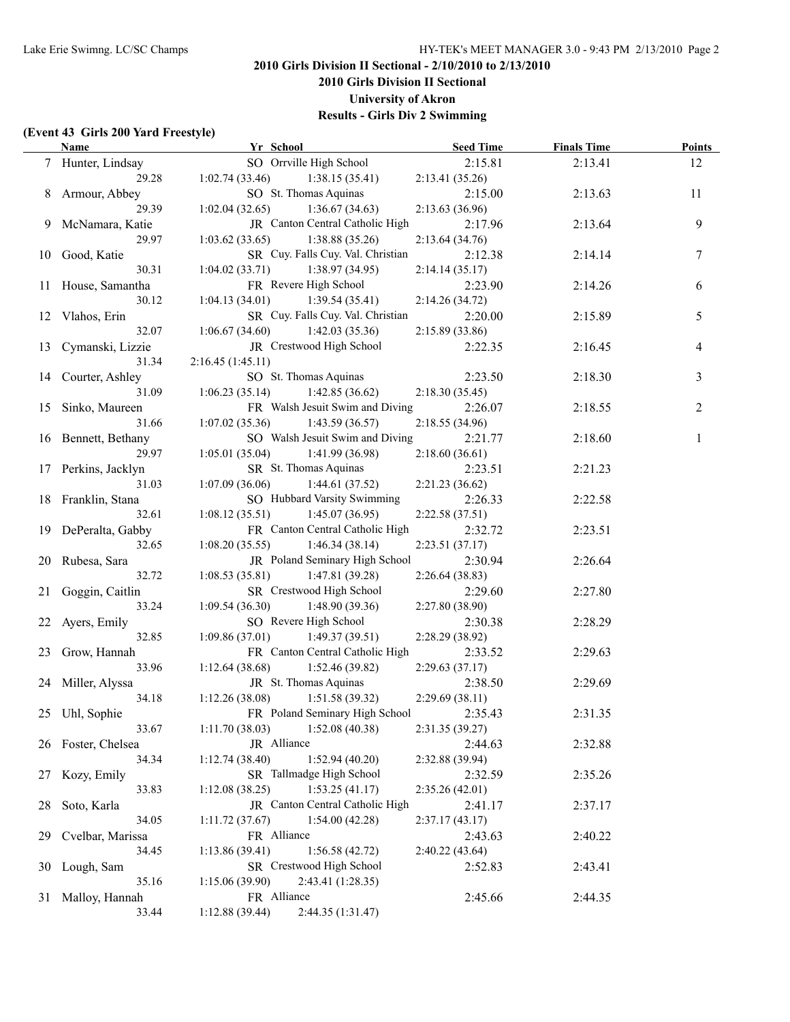**2010 Girls Division II Sectional**

**University of Akron**

**Results - Girls Div 2 Swimming**

#### **(Event 43 Girls 200 Yard Freestyle)**

|    | <b>Name</b>               | Yr School                                                    | <b>Seed Time</b>           | <b>Finals Time</b> | <b>Points</b> |
|----|---------------------------|--------------------------------------------------------------|----------------------------|--------------------|---------------|
|    | 7 Hunter, Lindsay         | SO Orrville High School                                      | 2:15.81                    | 2:13.41            | 12            |
|    | 29.28                     | 1:02.74(33.46)<br>1:38.15(35.41)                             | 2:13.41(35.26)             |                    |               |
|    | 8 Armour, Abbey           | SO St. Thomas Aquinas                                        | 2:15.00                    | 2:13.63            | 11            |
|    | 29.39                     | 1:02.04(32.65)<br>1:36.67(34.63)                             | 2:13.63(36.96)             |                    |               |
|    | 9 McNamara, Katie         | JR Canton Central Catholic High                              | 2:17.96                    | 2:13.64            | 9             |
|    | 29.97                     | 1:03.62(33.65)<br>1:38.88(35.26)                             | 2:13.64(34.76)             |                    |               |
|    | 10 Good, Katie            | SR Cuy. Falls Cuy. Val. Christian                            | 2:12.38                    | 2:14.14            | 7             |
|    | 30.31                     | $1:04.02(33.71)$ $1:38.97(34.95)$                            | 2:14.14(35.17)             |                    |               |
|    | 11 House, Samantha        | FR Revere High School                                        | 2:23.90                    | 2:14.26            | 6             |
|    | 30.12                     | 1:04.13(34.01)<br>1:39.54(35.41)                             | 2:14.26(34.72)             |                    |               |
|    | 12 Vlahos, Erin           | SR Cuy. Falls Cuy. Val. Christian                            | 2:20.00                    | 2:15.89            | 5             |
|    | 32.07                     | 1:06.67(34.60)<br>1:42.03(35.36)                             | 2:15.89(33.86)             |                    |               |
|    | 13 Cymanski, Lizzie       | JR Crestwood High School                                     | 2:22.35                    | 2:16.45            | 4             |
|    | 31.34                     | 2:16.45(1:45.11)                                             |                            |                    |               |
|    | 14 Courter, Ashley        | SO St. Thomas Aquinas                                        | 2:23.50                    | 2:18.30            | 3             |
|    | 31.09                     | 1:06.23(35.14)<br>1:42.85(36.62)                             | 2:18.30(35.45)             |                    |               |
|    | 15 Sinko, Maureen         | FR Walsh Jesuit Swim and Diving                              | 2:26.07                    | 2:18.55            | 2             |
|    | 31.66                     | 1:07.02(35.36)<br>1:43.59(36.57)                             | 2:18.55(34.96)             |                    |               |
|    | 16 Bennett, Bethany       | SO Walsh Jesuit Swim and Diving                              | 2:21.77                    | 2:18.60            | 1             |
|    | 29.97                     | $1:05.01(35.04)$ $1:41.99(36.98)$                            | 2:18.60(36.61)             |                    |               |
|    | 17 Perkins, Jacklyn       | SR St. Thomas Aquinas                                        | 2:23.51                    | 2:21.23            |               |
|    | 31.03                     | 1:07.09(36.06)<br>1:44.61(37.52)                             | 2:21.23(36.62)             |                    |               |
|    | 18 Franklin, Stana        | SO Hubbard Varsity Swimming                                  | 2:26.33                    | 2:22.58            |               |
|    | 32.61                     | $1:08.12(35.51)$ $1:45.07(36.95)$                            | 2:22.58(37.51)             |                    |               |
|    | 19 DePeralta, Gabby       | FR Canton Central Catholic High                              | 2:32.72                    | 2:23.51            |               |
|    | 32.65                     | 1:08.20(35.55)<br>1:46.34(38.14)                             | 2:23.51(37.17)             |                    |               |
|    | 20 Rubesa, Sara           | JR Poland Seminary High School                               | 2:30.94                    | 2:26.64            |               |
|    | 32.72                     | 1:08.53(35.81)<br>1:47.81 (39.28)                            | 2:26.64(38.83)             |                    |               |
|    | 21 Goggin, Caitlin        | SR Crestwood High School                                     | 2:29.60                    | 2:27.80            |               |
|    | 33.24                     | 1:09.54(36.30)<br>1:48.90(39.36)                             | 2:27.80(38.90)             |                    |               |
|    | 22 Ayers, Emily           | SO Revere High School                                        | 2:30.38                    | 2:28.29            |               |
|    | 32.85                     | 1:09.86(37.01)<br>1:49.37(39.51)                             | 2:28.29 (38.92)            |                    |               |
|    | 23 Grow, Hannah           | FR Canton Central Catholic High                              | 2:33.52                    | 2:29.63            |               |
|    | 33.96                     | $1:12.64(38.68)$ $1:52.46(39.82)$                            | 2:29.63(37.17)             |                    |               |
|    | 24 Miller, Alyssa         | JR St. Thomas Aquinas                                        | 2:38.50                    | 2:29.69            |               |
|    | 34.18                     | 1:12.26(38.08)<br>1:51.58(39.32)                             | 2:29.69(38.11)             |                    |               |
|    | 25 Uhl, Sophie            | FR Poland Seminary High School                               |                            | 2:31.35            |               |
|    | 33.67                     | 1:11.70(38.03)<br>1:52.08(40.38)                             | 2:35.43<br>2:31.35 (39.27) |                    |               |
|    | 26 Foster, Chelsea        | JR Alliance                                                  | 2:44.63                    | 2:32.88            |               |
|    | 34.34                     | 1:12.74(38.40)<br>1:52.94(40.20)                             | 2:32.88 (39.94)            |                    |               |
| 27 |                           | SR Tallmadge High School                                     | 2:32.59                    |                    |               |
|    | Kozy, Emily<br>33.83      | 1:12.08(38.25)<br>1:53.25(41.17)                             |                            | 2:35.26            |               |
|    |                           | JR Canton Central Catholic High                              | 2:35.26(42.01)             |                    |               |
| 28 | Soto, Karla               |                                                              | 2:41.17                    | 2:37.17            |               |
| 29 | 34.05<br>Cvelbar, Marissa | 1:11.72(37.67)<br>1:54.00(42.28)<br>FR Alliance              | 2:37.17(43.17)<br>2:43.63  | 2:40.22            |               |
|    | 34.45                     |                                                              |                            |                    |               |
|    |                           | 1:13.86(39.41)<br>1:56.58(42.72)<br>SR Crestwood High School | 2:40.22(43.64)             |                    |               |
| 30 | Lough, Sam                | 2:43.41 (1:28.35)                                            | 2:52.83                    | 2:43.41            |               |
|    | 35.16                     | 1:15.06(39.90)<br>FR Alliance                                |                            |                    |               |
| 31 | Malloy, Hannah            |                                                              | 2:45.66                    | 2:44.35            |               |
|    | 33.44                     | 1:12.88(39.44)<br>2:44.35 (1:31.47)                          |                            |                    |               |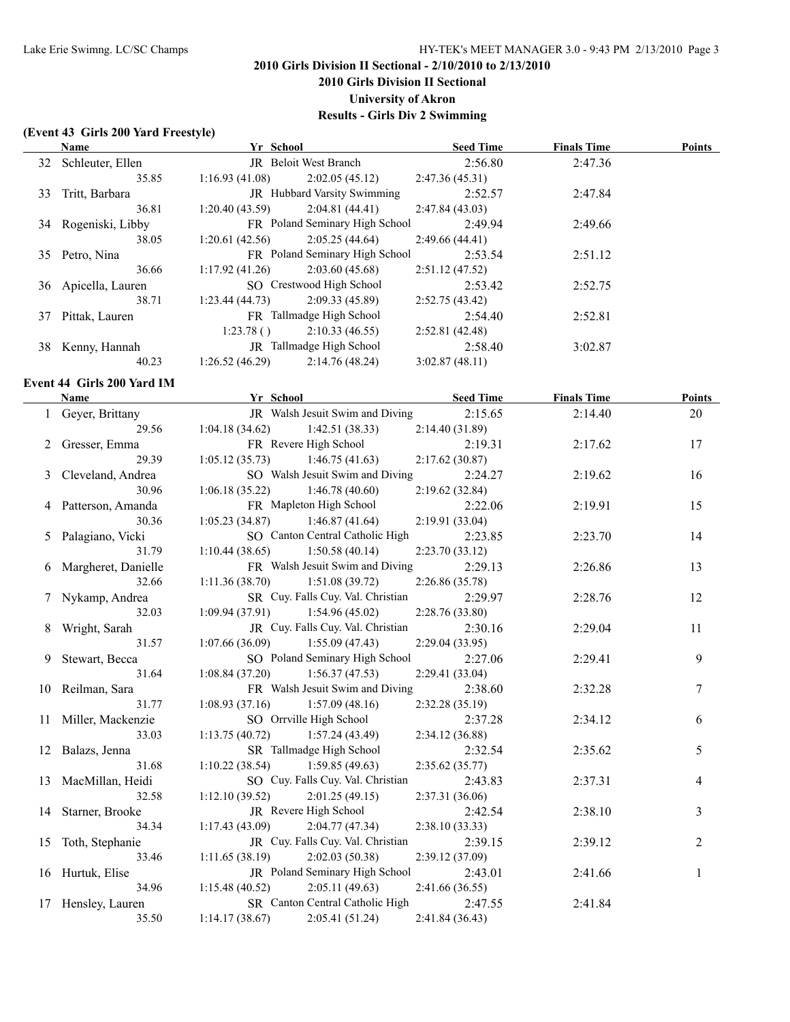**2010 Girls Division II Sectional**

**University of Akron**

**Results - Girls Div 2 Swimming**

#### **(Event 43 Girls 200 Yard Freestyle)**

 $\overline{a}$ 

|    | <b>Name</b>                | Yr School                   |                                                      | <b>Seed Time</b>          | <b>Finals Time</b> | <b>Points</b> |
|----|----------------------------|-----------------------------|------------------------------------------------------|---------------------------|--------------------|---------------|
|    | 32 Schleuter, Ellen        | JR Beloit West Branch       |                                                      | 2:56.80                   | 2:47.36            |               |
|    | 35.85                      | 1:16.93(41.08)              | 2:02.05(45.12)                                       | 2:47.36(45.31)            |                    |               |
| 33 | Tritt, Barbara             |                             | JR Hubbard Varsity Swimming                          | 2:52.57                   | 2:47.84            |               |
|    | 36.81                      | 1:20.40(43.59)              | 2:04.81(44.41)                                       | 2:47.84(43.03)            |                    |               |
|    | 34 Rogeniski, Libby        |                             | FR Poland Seminary High School                       | 2:49.94                   | 2:49.66            |               |
|    | 38.05                      | 1:20.61(42.56)              | 2:05.25(44.64)                                       | 2:49.66(44.41)            |                    |               |
|    | 35 Petro, Nina             |                             | FR Poland Seminary High School                       | 2:53.54                   | 2:51.12            |               |
|    | 36.66                      | 1:17.92(41.26)              | 2:03.60(45.68)                                       | 2:51.12(47.52)            |                    |               |
|    | 36 Apicella, Lauren        | SO Crestwood High School    |                                                      | 2:53.42                   | 2:52.75            |               |
|    | 38.71                      | 1:23.44(44.73)              | 2:09.33(45.89)                                       | 2:52.75(43.42)            |                    |               |
|    | 37 Pittak, Lauren          | FR Tallmadge High School    |                                                      | 2:54.40                   | 2:52.81            |               |
|    |                            | 1:23.78()                   | 2:10.33(46.55)                                       | 2:52.81(42.48)            |                    |               |
|    | 38 Kenny, Hannah           | JR Tallmadge High School    |                                                      | 2:58.40                   | 3:02.87            |               |
|    | 40.23                      | 1:26.52(46.29)              | 2:14.76(48.24)                                       | 3:02.87(48.11)            |                    |               |
|    | Event 44 Girls 200 Yard IM |                             |                                                      |                           |                    |               |
|    | <b>Name</b>                | <b>Example 18 Yr School</b> |                                                      | <b>Seed Time</b>          | <b>Finals Time</b> | <b>Points</b> |
|    | 1 Geyer, Brittany          |                             | JR Walsh Jesuit Swim and Diving                      | 2:15.65                   | 2:14.40            | 20            |
|    | 29.56                      | 1:04.18(34.62)              | 1:42.51(38.33)                                       | 2:14.40(31.89)            |                    |               |
|    | 2 Gresser, Emma            | FR Revere High School       |                                                      | 2:19.31                   | 2:17.62            | 17            |
|    | 29.39                      | 1:05.12(35.73)              | 1:46.75(41.63)                                       | 2:17.62(30.87)            |                    |               |
| 3  | Cleveland, Andrea          |                             | SO Walsh Jesuit Swim and Diving                      | 2:24.27                   | 2:19.62            | 16            |
|    | 30.96                      | 1:06.18(35.22)              | 1:46.78(40.60)                                       | 2:19.62(32.84)            |                    |               |
|    | Patterson, Amanda          | FR Mapleton High School     |                                                      | 2:22.06                   | 2:19.91            | 15            |
|    | 30.36                      | 1:05.23(34.87)              | 1:46.87(41.64)                                       | 2:19.91 (33.04)           |                    |               |
| 5  | Palagiano, Vicki           |                             | SO Canton Central Catholic High                      | 2:23.85                   | 2:23.70            | 14            |
|    | 31.79                      | 1:10.44(38.65)              | 1:50.58(40.14)                                       | 2:23.70(33.12)            |                    |               |
| 6  | Margheret, Danielle        |                             | FR Walsh Jesuit Swim and Diving                      | 2:29.13                   | 2:26.86            | 13            |
|    | 32.66                      | 1:11.36(38.70)              | 1:51.08(39.72)                                       | 2:26.86(35.78)            |                    |               |
|    | Nykamp, Andrea             |                             | SR Cuy. Falls Cuy. Val. Christian                    | 2:29.97                   | 2:28.76            | 12            |
|    | 32.03                      | 1:09.94(37.91)              | 1:54.96(45.02)                                       | 2:28.76 (33.80)           |                    |               |
| 8  | Wright, Sarah              |                             | JR Cuy. Falls Cuy. Val. Christian                    | 2:30.16                   | 2:29.04            | 11            |
|    | 31.57                      | 1:07.66(36.09)              | 1:55.09(47.43)                                       | 2:29.04(33.95)            |                    |               |
| 9  | Stewart, Becca             |                             | SO Poland Seminary High School                       | 2:27.06                   | 2:29.41            | 9             |
|    | 31.64                      | 1:08.84(37.20)              | 1:56.37(47.53)                                       | 2:29.41(33.04)            |                    |               |
|    | 10 Reilman, Sara           |                             | FR Walsh Jesuit Swim and Diving                      | 2:38.60                   | 2:32.28            | $\tau$        |
|    | 31.77                      | 1:08.93(37.16)              | 1:57.09(48.16)                                       | 2:32.28(35.19)            |                    |               |
|    | 11 Miller, Mackenzie       | SO Orrville High School     |                                                      | 2:37.28                   | 2:34.12            | 6             |
|    | 33.03                      | 1:13.75(40.72)              | 1:57.24(43.49)                                       | 2:34.12(36.88)            |                    |               |
| 12 | Balazs, Jenna              | SR Tallmadge High School    |                                                      | 2:32.54                   | 2:35.62            | 5             |
|    | 31.68                      | 1:10.22(38.54)              | 1:59.85(49.63)                                       | 2:35.62(35.77)            |                    |               |
|    | MacMillan, Heidi           |                             | SO Cuy. Falls Cuy. Val. Christian                    | 2:43.83                   | 2:37.31            | 4             |
| 13 | 32.58                      | 1:12.10(39.52)              | 2:01.25(49.15)                                       | 2:37.31(36.06)            |                    |               |
|    |                            | JR Revere High School       |                                                      | 2:42.54                   |                    | 3             |
| 14 | Starner, Brooke            |                             |                                                      |                           | 2:38.10            |               |
|    | 34.34                      | 1:17.43(43.09)              | 2:04.77 (47.34)<br>JR Cuy. Falls Cuy. Val. Christian | 2:38.10(33.33)<br>2:39.15 |                    |               |
| 15 | Toth, Stephanie<br>33.46   | 1:11.65(38.19)              | 2:02.03(50.38)                                       |                           | 2:39.12            | 2             |
|    |                            |                             | JR Poland Seminary High School                       | 2:39.12 (37.09)           |                    |               |
|    | 16 Hurtuk, Elise           |                             |                                                      | 2:43.01                   | 2:41.66            | 1             |
|    | 34.96                      | 1:15.48(40.52)              | 2:05.11(49.63)                                       | 2:41.66(36.55)            |                    |               |

34.96 1:15.48 (40.52) 2:05.11 (49.63) 2:41.66 (36.55)

- 17 Hensley, Lauren SR Canton Central Catholic High 2:47.55 2:41.84
- 35.50 1:14.17 (38.67) 2:05.41 (51.24) 2:41.84 (36.43)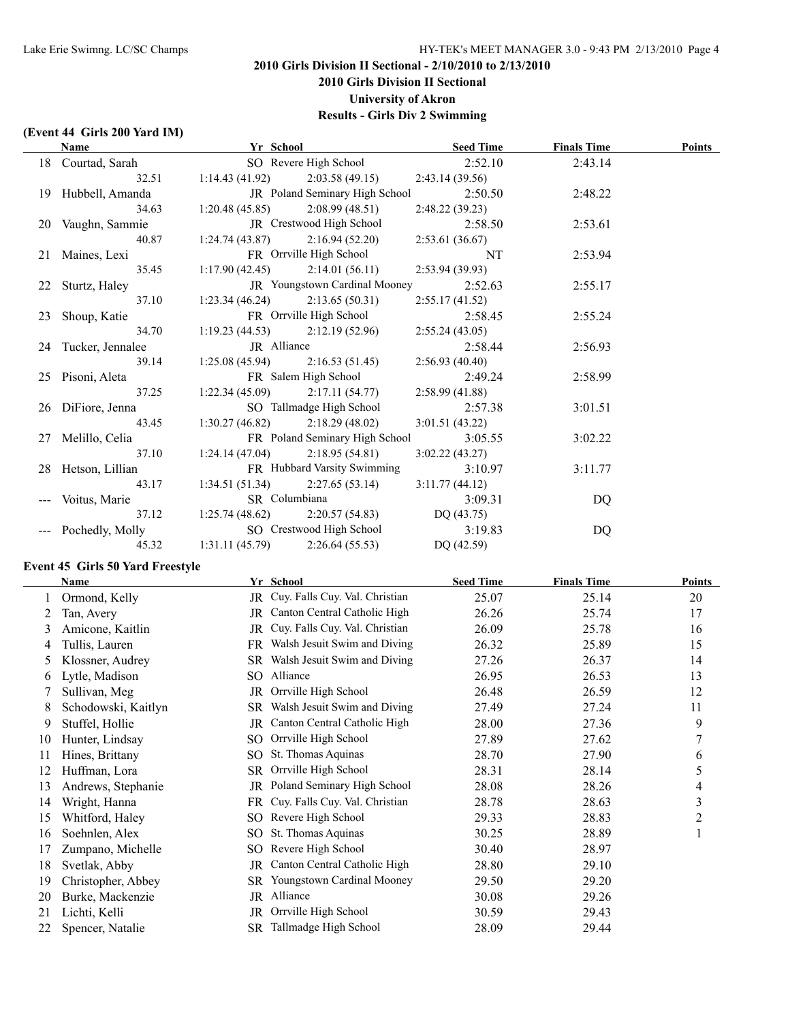## **2010 Girls Division II Sectional - 2/10/2010 to 2/13/2010 2010 Girls Division II Sectional**

**University of Akron**

**Results - Girls Div 2 Swimming**

## **(Event 44 Girls 200 Yard IM)**

| Name                                         | Yr School      |                                            | <b>Seed Time</b> | <b>Finals Time</b> | <b>Points</b> |
|----------------------------------------------|----------------|--------------------------------------------|------------------|--------------------|---------------|
| 18 Courtad, Sarah                            |                | SO Revere High School 2:52.10              |                  | 2:43.14            |               |
| 32.51                                        |                | $1:14.43(41.92)$ $2:03.58(49.15)$          | 2:43.14(39.56)   |                    |               |
| 19 Hubbell, Amanda                           |                | JR Poland Seminary High School             | 2:50.50          | 2:48.22            |               |
| 34.63                                        |                | $1:20.48(45.85)$ $2:08.99(48.51)$          | 2:48.22(39.23)   |                    |               |
| 20 Vaughn, Sammie                            |                | JR Crestwood High School                   | 2:58.50          | 2:53.61            |               |
| 40.87                                        |                | $1:24.74(43.87)$ $2:16.94(52.20)$          | 2:53.61(36.67)   |                    |               |
| 21 Maines, Lexi                              |                | FR Orrville High School                    | NT               | 2:53.94            |               |
| 35.45                                        |                | $1:17.90(42.45)$ $2:14.01(56.11)$          | 2:53.94(39.93)   |                    |               |
| 22 Sturtz, Haley                             |                | JR Youngstown Cardinal Mooney              | 2:52.63          | 2:55.17            |               |
| 37.10                                        |                | $1:23.34(46.24)$ $2:13.65(50.31)$          | 2:55.17(41.52)   |                    |               |
| 23 Shoup, Katie                              |                | FR Orrville High School                    | 2:58.45          | 2:55.24            |               |
| 34.70                                        |                | $1:19.23(44.53)$ $2:12.19(52.96)$          | 2:55.24(43.05)   |                    |               |
| 24 Tucker, Jennalee                          | JR Alliance    |                                            | 2:58.44          | 2:56.93            |               |
| 39.14                                        |                | $1:25.08(45.94)$ $2:16.53(51.45)$          | 2:56.93(40.40)   |                    |               |
| 25 Pisoni, Aleta                             |                | FR Salem High School                       | 2:49.24          | 2:58.99            |               |
| 37.25                                        |                | $1:22.34(45.09)$ $2:17.11(54.77)$          | 2:58.99(41.88)   |                    |               |
| 26 DiFiore, Jenna                            |                | SO Tallmadge High School                   | 2:57.38          | 3:01.51            |               |
| 43.45                                        |                | $1:30.27(46.82)$ $2:18.29(48.02)$          | 3:01.51(43.22)   |                    |               |
| 27 Melillo, Celia                            |                | FR Poland Seminary High School             | 3:05.55          | 3:02.22            |               |
| 37.10                                        |                | $1:24.14(47.04)$ $2:18.95(54.81)$          | 3:02.22(43.27)   |                    |               |
| 28 Hetson, Lillian                           |                | FR Hubbard Varsity Swimming                | 3:10.97          | 3:11.77            |               |
| 43.17                                        |                | $1:34.51(51.34)$ $2:27.65(53.14)$          | 3:11.77(44.12)   |                    |               |
| --- Voitus, Marie                            | SR Columbiana  |                                            | 3:09.31          | DQ                 |               |
| 37.12                                        |                | 1:25.74 (48.62) 2:20.57 (54.83) DQ (43.75) |                  |                    |               |
| --- Pochedly, Molly SO Crestwood High School |                |                                            | 3:19.83          | DQ                 |               |
| 45.32                                        | 1:31.11(45.79) | 2:26.64(55.53)                             | DQ (42.59)       |                    |               |

## **Event 45 Girls 50 Yard Freestyle**

|    | Name                |    | Yr School                         | <b>Seed Time</b> | <b>Finals Time</b> | <b>Points</b> |
|----|---------------------|----|-----------------------------------|------------------|--------------------|---------------|
|    | Ormond, Kelly       |    | JR Cuy. Falls Cuy. Val. Christian | 25.07            | 25.14              | 20            |
|    | Tan, Avery          |    | JR Canton Central Catholic High   | 26.26            | 25.74              | 17            |
| 3  | Amicone, Kaitlin    | JR | Cuy. Falls Cuy. Val. Christian    | 26.09            | 25.78              | 16            |
| 4  | Tullis, Lauren      | FR | Walsh Jesuit Swim and Diving      | 26.32            | 25.89              | 15            |
| 5  | Klossner, Audrey    | SR | Walsh Jesuit Swim and Diving      | 27.26            | 26.37              | 14            |
| 6  | Lytle, Madison      | SO | Alliance                          | 26.95            | 26.53              | 13            |
|    | Sullivan, Meg       | JR | Orrville High School              | 26.48            | 26.59              | 12            |
| 8  | Schodowski, Kaitlyn | SR | Walsh Jesuit Swim and Diving      | 27.49            | 27.24              | 11            |
| 9  | Stuffel, Hollie     | JR | Canton Central Catholic High      | 28.00            | 27.36              | 9             |
| 10 | Hunter, Lindsay     | SO | Orrville High School              | 27.89            | 27.62              | 7             |
| 11 | Hines, Brittany     |    | SO St. Thomas Aquinas             | 28.70            | 27.90              | 6             |
| 12 | Huffman, Lora       | SR | Orrville High School              | 28.31            | 28.14              | 5             |
| 13 | Andrews, Stephanie  |    | JR Poland Seminary High School    | 28.08            | 28.26              | 4             |
| 14 | Wright, Hanna       | FR | Cuy. Falls Cuy. Val. Christian    | 28.78            | 28.63              | 3             |
| 15 | Whitford, Haley     | SO | Revere High School                | 29.33            | 28.83              | 2             |
| 16 | Soehnlen, Alex      | SO | St. Thomas Aquinas                | 30.25            | 28.89              | 1             |
| 17 | Zumpano, Michelle   | SO | Revere High School                | 30.40            | 28.97              |               |
| 18 | Svetlak, Abby       | JR | Canton Central Catholic High      | 28.80            | 29.10              |               |
| 19 | Christopher, Abbey  | SR | <b>Youngstown Cardinal Mooney</b> | 29.50            | 29.20              |               |
| 20 | Burke, Mackenzie    | JR | Alliance                          | 30.08            | 29.26              |               |
| 21 | Lichti, Kelli       | JR | Orrville High School              | 30.59            | 29.43              |               |
| 22 | Spencer, Natalie    |    | SR Tallmadge High School          | 28.09            | 29.44              |               |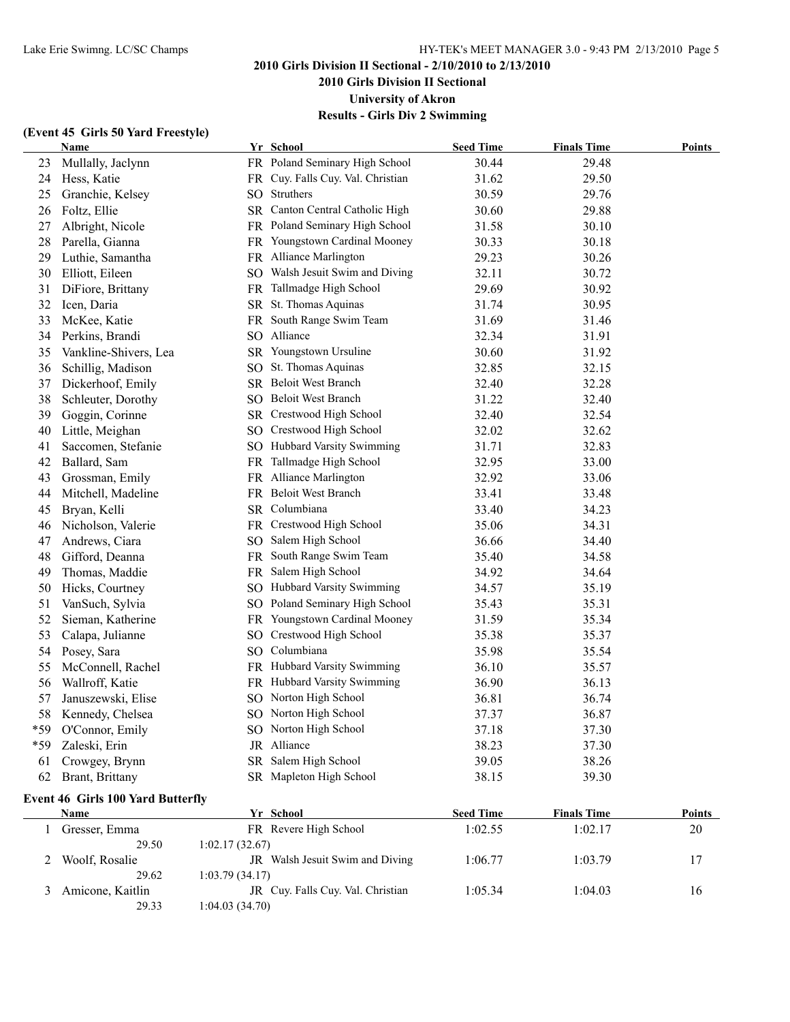**2010 Girls Division II Sectional**

**University of Akron**

**Results - Girls Div 2 Swimming**

## **(Event 45 Girls 50 Yard Freestyle)**

|     | Name                  | Yr School                         | <b>Seed Time</b> | <b>Finals Time</b> | <u>Points</u> |
|-----|-----------------------|-----------------------------------|------------------|--------------------|---------------|
| 23  | Mullally, Jaclynn     | FR Poland Seminary High School    | 30.44            | 29.48              |               |
| 24  | Hess, Katie           | FR Cuy. Falls Cuy. Val. Christian | 31.62            | 29.50              |               |
| 25  | Granchie, Kelsey      | SO Struthers                      | 30.59            | 29.76              |               |
| 26  | Foltz, Ellie          | SR Canton Central Catholic High   | 30.60            | 29.88              |               |
| 27  | Albright, Nicole      | FR Poland Seminary High School    | 31.58            | 30.10              |               |
| 28  | Parella, Gianna       | FR Youngstown Cardinal Mooney     | 30.33            | 30.18              |               |
| 29  | Luthie, Samantha      | FR Alliance Marlington            | 29.23            | 30.26              |               |
| 30  | Elliott, Eileen       | SO Walsh Jesuit Swim and Diving   | 32.11            | 30.72              |               |
| 31  | DiFiore, Brittany     | FR Tallmadge High School          | 29.69            | 30.92              |               |
| 32  | Icen, Daria           | SR St. Thomas Aquinas             | 31.74            | 30.95              |               |
| 33  | McKee, Katie          | FR South Range Swim Team          | 31.69            | 31.46              |               |
| 34  | Perkins, Brandi       | SO Alliance                       | 32.34            | 31.91              |               |
| 35  | Vankline-Shivers, Lea | SR Youngstown Ursuline            | 30.60            | 31.92              |               |
| 36  | Schillig, Madison     | SO St. Thomas Aquinas             | 32.85            | 32.15              |               |
| 37  | Dickerhoof, Emily     | SR Beloit West Branch             | 32.40            | 32.28              |               |
| 38  | Schleuter, Dorothy    | SO Beloit West Branch             | 31.22            | 32.40              |               |
| 39  | Goggin, Corinne       | SR Crestwood High School          | 32.40            | 32.54              |               |
| 40  | Little, Meighan       | SO Crestwood High School          | 32.02            | 32.62              |               |
| 41  | Saccomen, Stefanie    | SO Hubbard Varsity Swimming       | 31.71            | 32.83              |               |
| 42  | Ballard, Sam          | FR Tallmadge High School          | 32.95            | 33.00              |               |
| 43  | Grossman, Emily       | FR Alliance Marlington            | 32.92            | 33.06              |               |
| 44  | Mitchell, Madeline    | FR Beloit West Branch             | 33.41            | 33.48              |               |
| 45  | Bryan, Kelli          | SR Columbiana                     | 33.40            | 34.23              |               |
| 46  | Nicholson, Valerie    | FR Crestwood High School          | 35.06            | 34.31              |               |
| 47  | Andrews, Ciara        | SO Salem High School              | 36.66            | 34.40              |               |
| 48  | Gifford, Deanna       | FR South Range Swim Team          | 35.40            | 34.58              |               |
| 49  | Thomas, Maddie        | FR Salem High School              | 34.92            | 34.64              |               |
| 50  | Hicks, Courtney       | SO Hubbard Varsity Swimming       | 34.57            | 35.19              |               |
| 51  | VanSuch, Sylvia       | SO Poland Seminary High School    | 35.43            | 35.31              |               |
| 52  | Sieman, Katherine     | FR Youngstown Cardinal Mooney     | 31.59            | 35.34              |               |
| 53  | Calapa, Julianne      | SO Crestwood High School          | 35.38            | 35.37              |               |
| 54  | Posey, Sara           | SO Columbiana                     | 35.98            | 35.54              |               |
| 55  | McConnell, Rachel     | FR Hubbard Varsity Swimming       | 36.10            | 35.57              |               |
| 56  | Wallroff, Katie       | FR Hubbard Varsity Swimming       | 36.90            | 36.13              |               |
| 57  | Januszewski, Elise    | SO Norton High School             | 36.81            | 36.74              |               |
| 58  | Kennedy, Chelsea      | SO Norton High School             | 37.37            | 36.87              |               |
| *59 | O'Connor, Emily       | SO Norton High School             | 37.18            | 37.30              |               |
| *59 | Zaleski, Erin         | JR Alliance                       | 38.23            | 37.30              |               |
| 61  | Crowgey, Brynn        | SR Salem High School              | 39.05            | 38.26              |               |
| 62  | Brant, Brittany       | SR Mapleton High School           | 38.15            | 39.30              |               |

## **Event 46 Girls 100 Yard Butterfly**

| Name             | Yr School                                | <b>Seed Time</b> | <b>Finals Time</b> | <b>Points</b> |
|------------------|------------------------------------------|------------------|--------------------|---------------|
| Gresser, Emma    | FR Revere High School                    | 1:02.55          | 1:02.17            | 20            |
| 29.50            | 1:02.17(32.67)                           |                  |                    |               |
| Woolf, Rosalie   | Walsh Jesuit Swim and Diving<br>JR       | 1:06.77          | 1:03.79            | 17            |
| 29.62            | 1:03.79(34.17)                           |                  |                    |               |
| Amicone, Kaitlin | <b>IR</b> Cuv. Falls Cuv. Val. Christian | 1:05.34          | 1:04.03            | 16            |
| 29.33            | 1:04.03 (34.70)                          |                  |                    |               |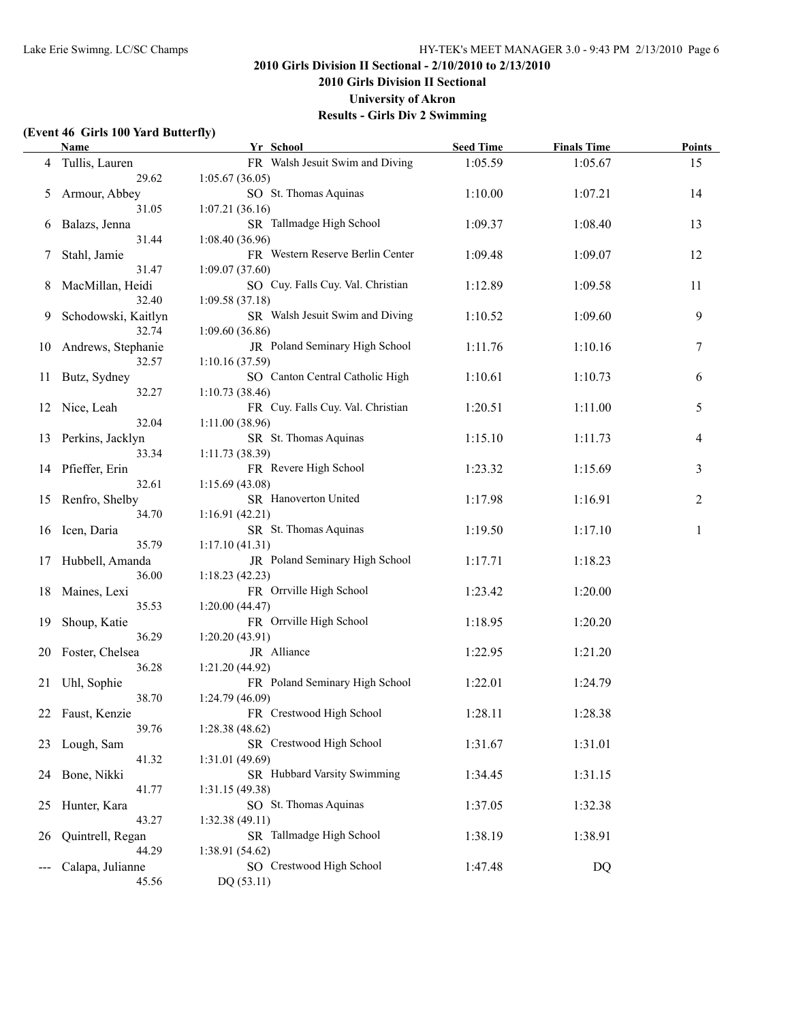**2010 Girls Division II Sectional**

**University of Akron**

**Results - Girls Div 2 Swimming**

### **(Event 46 Girls 100 Yard Butterfly)**

|    | <b>Name</b>         | Yr School                         | <b>Seed Time</b> | <b>Finals Time</b> | <b>Points</b> |
|----|---------------------|-----------------------------------|------------------|--------------------|---------------|
| 4  | Tullis, Lauren      | FR Walsh Jesuit Swim and Diving   | 1:05.59          | 1:05.67            | 15            |
|    | 29.62               | 1:05.67(36.05)                    |                  |                    |               |
| 5  | Armour, Abbey       | SO St. Thomas Aquinas             | 1:10.00          | 1:07.21            | 14            |
|    | 31.05               | 1:07.21(36.16)                    |                  |                    |               |
| 6  | Balazs, Jenna       | SR Tallmadge High School          | 1:09.37          | 1:08.40            | 13            |
|    | 31.44               | 1:08.40(36.96)                    |                  |                    |               |
| 7  | Stahl, Jamie        | FR Western Reserve Berlin Center  | 1:09.48          | 1:09.07            | 12            |
|    | 31.47               | 1:09.07(37.60)                    |                  |                    |               |
| 8  | MacMillan, Heidi    | SO Cuy. Falls Cuy. Val. Christian | 1:12.89          | 1:09.58            | 11            |
|    | 32.40               | 1:09.58(37.18)                    |                  |                    |               |
| 9. | Schodowski, Kaitlyn | SR Walsh Jesuit Swim and Diving   | 1:10.52          | 1:09.60            | 9             |
|    | 32.74               | 1:09.60(36.86)                    |                  |                    |               |
| 10 | Andrews, Stephanie  | JR Poland Seminary High School    | 1:11.76          | 1:10.16            | 7             |
|    | 32.57               | 1:10.16(37.59)                    |                  |                    |               |
| 11 | Butz, Sydney        | SO Canton Central Catholic High   | 1:10.61          | 1:10.73            | 6             |
|    | 32.27               | 1:10.73(38.46)                    |                  |                    |               |
| 12 | Nice, Leah          | FR Cuy. Falls Cuy. Val. Christian | 1:20.51          | 1:11.00            | 5             |
|    | 32.04               | 1:11.00(38.96)                    |                  |                    |               |
| 13 | Perkins, Jacklyn    | SR St. Thomas Aquinas             | 1:15.10          | 1:11.73            | 4             |
|    | 33.34               | 1:11.73 (38.39)                   |                  |                    |               |
| 14 | Pfieffer, Erin      | FR Revere High School             | 1:23.32          | 1:15.69            | 3             |
|    | 32.61               | 1:15.69(43.08)                    |                  |                    |               |
| 15 | Renfro, Shelby      | SR Hanoverton United              | 1:17.98          | 1:16.91            | 2             |
|    | 34.70               | 1:16.91(42.21)                    |                  |                    |               |
|    | 16 Icen, Daria      | SR St. Thomas Aquinas             | 1:19.50          | 1:17.10            | 1             |
|    | 35.79               | 1:17.10(41.31)                    |                  |                    |               |
|    | 17 Hubbell, Amanda  | JR Poland Seminary High School    | 1:17.71          | 1:18.23            |               |
|    | 36.00               | 1:18.23(42.23)                    |                  |                    |               |
|    | 18 Maines, Lexi     | FR Orrville High School           | 1:23.42          | 1:20.00            |               |
|    | 35.53               | 1:20.00(44.47)                    |                  |                    |               |
| 19 | Shoup, Katie        | FR Orrville High School           | 1:18.95          | 1:20.20            |               |
|    | 36.29               | 1:20.20(43.91)                    |                  |                    |               |
|    | 20 Foster, Chelsea  | JR Alliance                       | 1:22.95          | 1:21.20            |               |
|    | 36.28               | 1:21.20(44.92)                    |                  |                    |               |
| 21 | Uhl, Sophie         | FR Poland Seminary High School    | 1:22.01          | 1:24.79            |               |
|    | 38.70               | 1:24.79 (46.09)                   |                  |                    |               |
| 22 | Faust, Kenzie       | FR Crestwood High School          | 1:28.11          | 1:28.38            |               |
|    | 39.76               | 1:28.38(48.62)                    |                  |                    |               |
| 23 | Lough, Sam          | SR Crestwood High School          | 1:31.67          | 1:31.01            |               |
|    | 41.32               | 1:31.01 (49.69)                   |                  |                    |               |
| 24 | Bone, Nikki         | SR Hubbard Varsity Swimming       | 1:34.45          | 1:31.15            |               |
|    | 41.77               | 1:31.15 (49.38)                   |                  |                    |               |
| 25 | Hunter, Kara        | SO St. Thomas Aquinas             | 1:37.05          | 1:32.38            |               |
|    | 43.27               | 1:32.38 (49.11)                   |                  |                    |               |
| 26 | Quintrell, Regan    | SR Tallmadge High School          | 1:38.19          | 1:38.91            |               |
|    | 44.29               | 1:38.91(54.62)                    |                  |                    |               |
|    | Calapa, Julianne    | SO Crestwood High School          | 1:47.48          | DQ                 |               |
|    | 45.56               | DQ (53.11)                        |                  |                    |               |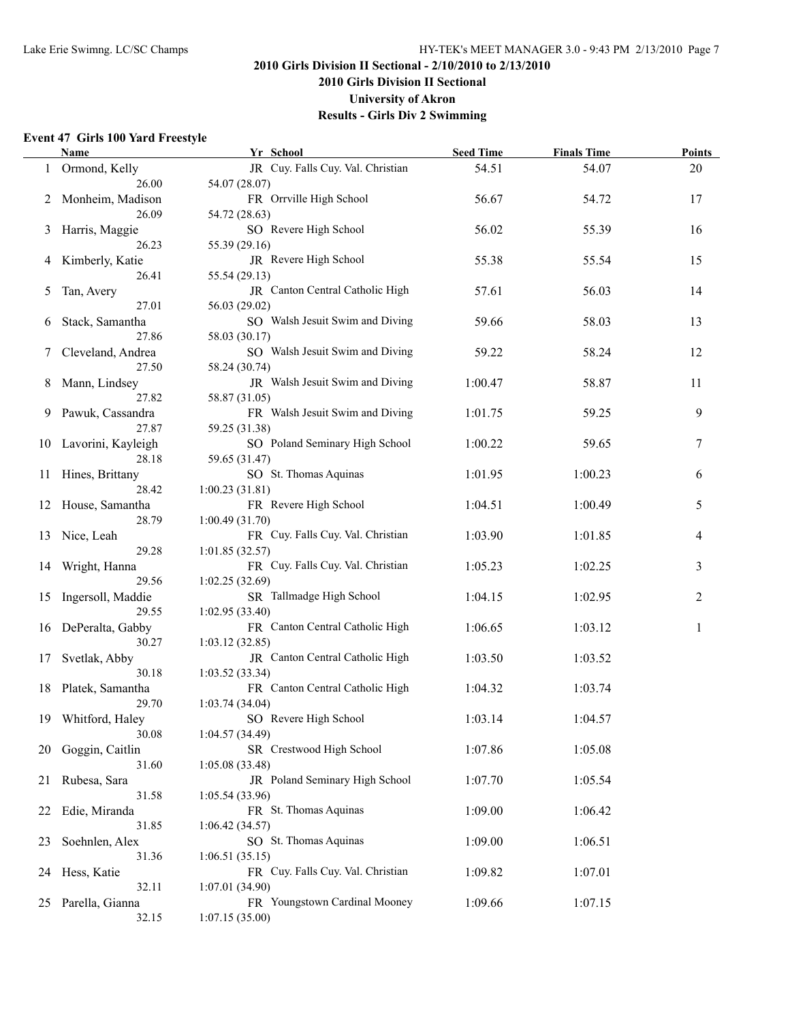**2010 Girls Division II Sectional**

**University of Akron**

**Results - Girls Div 2 Swimming**

#### **Event 47 Girls 100 Yard Freestyle**

|    | Name                | Yr School                         | <b>Seed Time</b> | <b>Finals Time</b> | <b>Points</b> |
|----|---------------------|-----------------------------------|------------------|--------------------|---------------|
|    | Ormond, Kelly       | JR Cuy. Falls Cuy. Val. Christian | 54.51            | 54.07              | 20            |
|    | 26.00               | 54.07 (28.07)                     |                  |                    |               |
| 2  | Monheim, Madison    | FR Orrville High School           | 56.67            | 54.72              | 17            |
|    | 26.09               | 54.72 (28.63)                     |                  |                    |               |
| 3  | Harris, Maggie      | SO Revere High School             | 56.02            | 55.39              | 16            |
|    | 26.23               | 55.39 (29.16)                     |                  |                    |               |
| 4  | Kimberly, Katie     | JR Revere High School             | 55.38            | 55.54              | 15            |
|    | 26.41               | 55.54 (29.13)                     |                  |                    |               |
| 5  | Tan, Avery          | JR Canton Central Catholic High   | 57.61            | 56.03              | 14            |
|    | 27.01               | 56.03 (29.02)                     |                  |                    |               |
| 6  | Stack, Samantha     | SO Walsh Jesuit Swim and Diving   | 59.66            | 58.03              | 13            |
|    | 27.86               | 58.03 (30.17)                     |                  |                    |               |
|    | Cleveland, Andrea   | SO Walsh Jesuit Swim and Diving   | 59.22            | 58.24              | 12            |
|    | 27.50               | 58.24 (30.74)                     |                  |                    |               |
| 8  | Mann, Lindsey       | JR Walsh Jesuit Swim and Diving   | 1:00.47          | 58.87              | 11            |
|    | 27.82               | 58.87 (31.05)                     |                  |                    |               |
| 9  | Pawuk, Cassandra    | FR Walsh Jesuit Swim and Diving   | 1:01.75          | 59.25              | 9             |
|    | 27.87               | 59.25 (31.38)                     |                  |                    |               |
| 10 | Lavorini, Kayleigh  | SO Poland Seminary High School    | 1:00.22          | 59.65              | 7             |
|    | 28.18               | 59.65 (31.47)                     |                  |                    |               |
| 11 | Hines, Brittany     | SO St. Thomas Aquinas             | 1:01.95          | 1:00.23            | 6             |
|    | 28.42               | 1:00.23(31.81)                    |                  |                    |               |
| 12 | House, Samantha     | FR Revere High School             | 1:04.51          | 1:00.49            | 5             |
|    | 28.79               | 1:00.49(31.70)                    |                  |                    |               |
| 13 | Nice, Leah          | FR Cuy. Falls Cuy. Val. Christian | 1:03.90          | 1:01.85            | 4             |
|    | 29.28               | 1:01.85(32.57)                    |                  |                    |               |
| 14 | Wright, Hanna       | FR Cuy. Falls Cuy. Val. Christian | 1:05.23          | 1:02.25            | 3             |
|    | 29.56               | 1:02.25(32.69)                    |                  |                    |               |
| 15 | Ingersoll, Maddie   | SR Tallmadge High School          | 1:04.15          | 1:02.95            | 2             |
|    | 29.55               | 1:02.95(33.40)                    |                  |                    |               |
|    | 16 DePeralta, Gabby | FR Canton Central Catholic High   | 1:06.65          | 1:03.12            | 1             |
|    | 30.27               | 1:03.12(32.85)                    |                  |                    |               |
| 17 | Svetlak, Abby       | JR Canton Central Catholic High   | 1:03.50          | 1:03.52            |               |
|    | 30.18               | 1:03.52(33.34)                    |                  |                    |               |
|    | 18 Platek, Samantha | FR Canton Central Catholic High   | 1:04.32          | 1:03.74            |               |
|    | 29.70               | 1:03.74(34.04)                    |                  |                    |               |
|    | 19 Whitford, Haley  | SO Revere High School             | 1:03.14          | 1:04.57            |               |
|    | 30.08               | 1:04.57(34.49)                    |                  |                    |               |
| 20 | Goggin, Caitlin     | SR Crestwood High School          | 1:07.86          | 1:05.08            |               |
|    | 31.60               | 1:05.08(33.48)                    |                  |                    |               |
| 21 | Rubesa, Sara        | JR Poland Seminary High School    | 1:07.70          | 1:05.54            |               |
|    | 31.58               | 1:05.54(33.96)                    |                  |                    |               |
| 22 | Edie, Miranda       | FR St. Thomas Aquinas             | 1:09.00          | 1:06.42            |               |
|    | 31.85               | 1:06.42(34.57)                    |                  |                    |               |
| 23 | Soehnlen, Alex      | SO St. Thomas Aquinas             | 1:09.00          | 1:06.51            |               |
|    | 31.36               | 1:06.51(35.15)                    |                  |                    |               |
| 24 | Hess, Katie         | FR Cuy. Falls Cuy. Val. Christian | 1:09.82          | 1:07.01            |               |
|    | 32.11               | 1:07.01 (34.90)                   |                  |                    |               |
| 25 | Parella, Gianna     | FR Youngstown Cardinal Mooney     | 1:09.66          | 1:07.15            |               |
|    | 32.15               | 1:07.15(35.00)                    |                  |                    |               |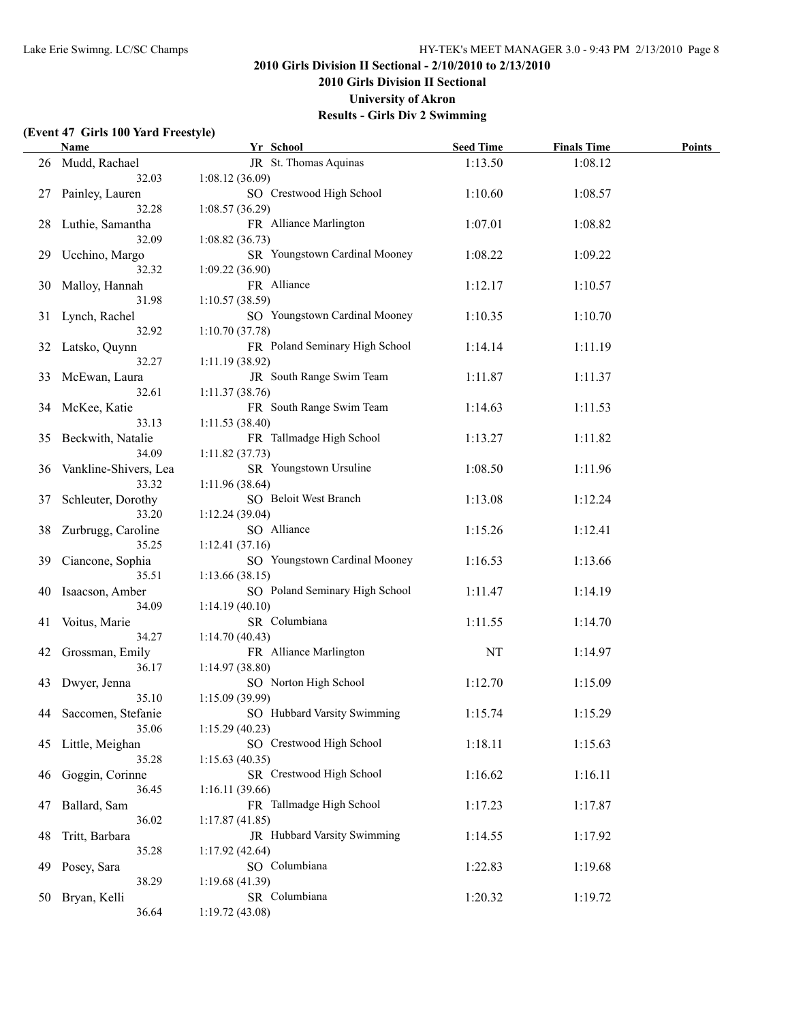**2010 Girls Division II Sectional**

**University of Akron**

**Results - Girls Div 2 Swimming**

### **(Event 47 Girls 100 Yard Freestyle)**

|     | <b>Name</b>           | Yr School                      | <b>Seed Time</b> | <b>Finals Time</b> | <b>Points</b> |
|-----|-----------------------|--------------------------------|------------------|--------------------|---------------|
|     | 26 Mudd, Rachael      | JR St. Thomas Aquinas          | 1:13.50          | 1:08.12            |               |
|     | 32.03                 | 1:08.12(36.09)                 |                  |                    |               |
| 27  | Painley, Lauren       | SO Crestwood High School       | 1:10.60          | 1:08.57            |               |
|     | 32.28                 | 1:08.57(36.29)                 |                  |                    |               |
| 28  | Luthie, Samantha      | FR Alliance Marlington         | 1:07.01          | 1:08.82            |               |
|     | 32.09                 | 1:08.82(36.73)                 |                  |                    |               |
| 29  | Ucchino, Margo        | SR Youngstown Cardinal Mooney  | 1:08.22          | 1:09.22            |               |
|     | 32.32                 | 1:09.22(36.90)                 |                  |                    |               |
| 30  | Malloy, Hannah        | FR Alliance                    | 1:12.17          | 1:10.57            |               |
|     | 31.98                 | 1:10.57(38.59)                 |                  |                    |               |
| 31  | Lynch, Rachel         | SO Youngstown Cardinal Mooney  | 1:10.35          | 1:10.70            |               |
|     | 32.92                 | 1:10.70(37.78)                 |                  |                    |               |
| 32  | Latsko, Quynn         | FR Poland Seminary High School | 1:14.14          | 1:11.19            |               |
|     | 32.27                 | 1:11.19(38.92)                 |                  |                    |               |
|     | 33 McEwan, Laura      | JR South Range Swim Team       | 1:11.87          | 1:11.37            |               |
|     | 32.61                 | 1:11.37 (38.76)                |                  |                    |               |
| 34  | McKee, Katie          | FR South Range Swim Team       | 1:14.63          | 1:11.53            |               |
|     | 33.13                 | 1:11.53 (38.40)                |                  |                    |               |
| 35  | Beckwith, Natalie     | FR Tallmadge High School       | 1:13.27          | 1:11.82            |               |
|     | 34.09                 | 1:11.82(37.73)                 |                  |                    |               |
| 36  | Vankline-Shivers, Lea | SR Youngstown Ursuline         | 1:08.50          | 1:11.96            |               |
|     | 33.32                 | 1:11.96 (38.64)                |                  |                    |               |
| 37  | Schleuter, Dorothy    | SO Beloit West Branch          | 1:13.08          | 1:12.24            |               |
|     | 33.20                 | 1:12.24(39.04)                 |                  |                    |               |
| 38  | Zurbrugg, Caroline    | SO Alliance                    | 1:15.26          | 1:12.41            |               |
|     | 35.25                 | 1:12.41(37.16)                 |                  |                    |               |
| 39  | Ciancone, Sophia      | SO Youngstown Cardinal Mooney  | 1:16.53          | 1:13.66            |               |
|     | 35.51                 | 1:13.66(38.15)                 |                  |                    |               |
| 40  | Isaacson, Amber       | SO Poland Seminary High School | 1:11.47          | 1:14.19            |               |
|     | 34.09                 | 1:14.19(40.10)                 |                  |                    |               |
| 41  | Voitus, Marie         | SR Columbiana                  | 1:11.55          | 1:14.70            |               |
|     | 34.27                 | 1:14.70(40.43)                 |                  |                    |               |
| 42  | Grossman, Emily       | FR Alliance Marlington         | NT               | 1:14.97            |               |
|     | 36.17                 | 1:14.97(38.80)                 |                  |                    |               |
| 43  | Dwyer, Jenna          | SO Norton High School          | 1:12.70          | 1:15.09            |               |
|     | 35.10                 | 1:15.09(39.99)                 |                  |                    |               |
|     | 44 Saccomen, Stefanie | SO Hubbard Varsity Swimming    | 1:15.74          | 1:15.29            |               |
|     | 35.06                 | 1:15.29(40.23)                 |                  |                    |               |
| 45  | Little, Meighan       | SO Crestwood High School       | 1:18.11          | 1:15.63            |               |
|     | 35.28                 | 1:15.63(40.35)                 |                  |                    |               |
| 46  | Goggin, Corinne       | SR Crestwood High School       | 1:16.62          | 1:16.11            |               |
|     | 36.45                 | 1:16.11(39.66)                 |                  |                    |               |
| 47  | Ballard, Sam          | FR Tallmadge High School       | 1:17.23          | 1:17.87            |               |
|     | 36.02                 | 1:17.87(41.85)                 |                  |                    |               |
| 48  | Tritt, Barbara        | JR Hubbard Varsity Swimming    | 1:14.55          | 1:17.92            |               |
|     | 35.28                 | 1:17.92(42.64)                 |                  |                    |               |
| 49  | Posey, Sara           | SO Columbiana                  | 1:22.83          | 1:19.68            |               |
|     | 38.29                 | 1:19.68(41.39)                 |                  |                    |               |
| 50. | Bryan, Kelli          | SR Columbiana                  | 1:20.32          | 1:19.72            |               |
|     | 36.64                 | 1:19.72 (43.08)                |                  |                    |               |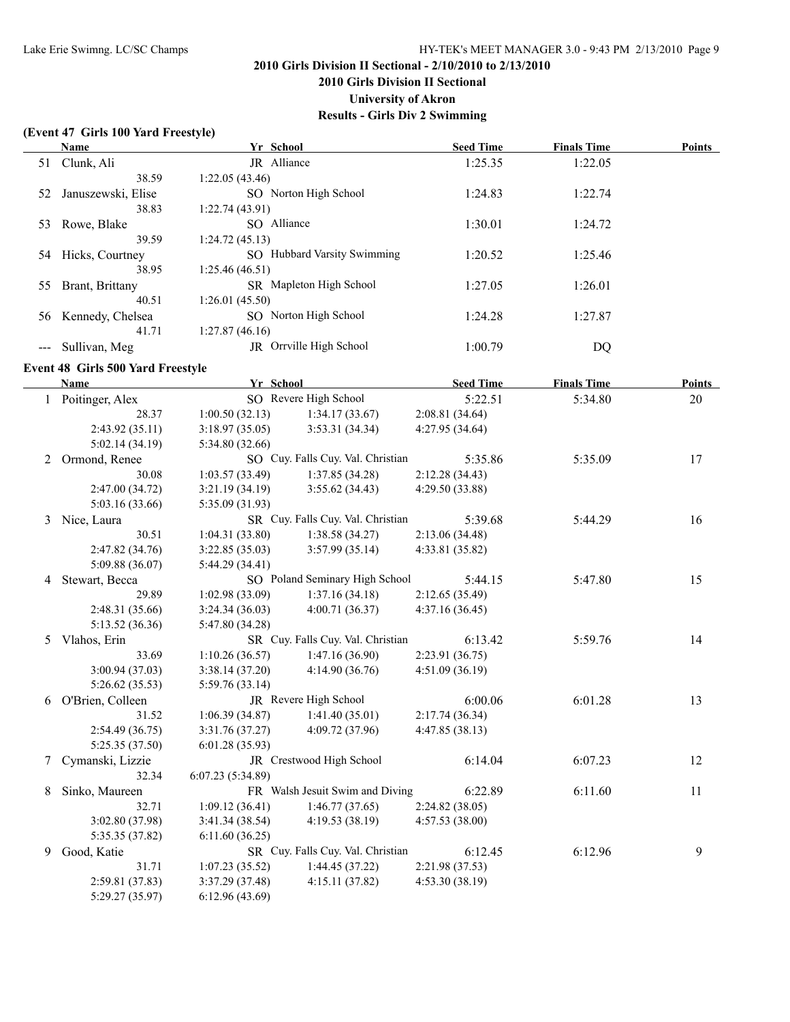**2010 Girls Division II Sectional**

**University of Akron**

**Results - Girls Div 2 Swimming**

#### **(Event 47 Girls 100 Yard Freestyle)**

|    | Name               | Yr School                                 | <b>Seed Time</b> | <b>Finals Time</b> | <b>Points</b> |
|----|--------------------|-------------------------------------------|------------------|--------------------|---------------|
| 51 | Clunk, Ali         | JR Alliance                               | 1:25.35          | 1:22.05            |               |
|    | 38.59              | 1:22.05(43.46)                            |                  |                    |               |
| 52 | Januszewski, Elise | SO Norton High School                     | 1:24.83          | 1:22.74            |               |
|    | 38.83              | 1:22.74(43.91)                            |                  |                    |               |
| 53 | Rowe, Blake        | SO Alliance                               | 1:30.01          | 1:24.72            |               |
|    | 39.59              | 1:24.72(45.13)                            |                  |                    |               |
| 54 | Hicks, Courtney    | <b>Hubbard Varsity Swimming</b><br>$SO^-$ | 1:20.52          | 1:25.46            |               |
|    | 38.95              | 1:25.46(46.51)                            |                  |                    |               |
| 55 | Brant, Brittany    | SR Mapleton High School                   | 1:27.05          | 1:26.01            |               |
|    | 40.51              | 1:26.01(45.50)                            |                  |                    |               |
| 56 | Kennedy, Chelsea   | SO Norton High School                     | 1:24.28          | 1:27.87            |               |
|    | 41.71              | 1:27.87(46.16)                            |                  |                    |               |
|    | Sullivan, Meg      | Orrville High School<br>JR.               | 1:00.79          | DQ                 |               |

#### **Event 48 Girls 500 Yard Freestyle**

|   | Name              | Yr School        |                                   | <b>Seed Time</b> | <b>Finals Time</b> | <b>Points</b> |
|---|-------------------|------------------|-----------------------------------|------------------|--------------------|---------------|
|   | 1 Poitinger, Alex |                  | SO Revere High School             | 5:22.51          | 5:34.80            | 20            |
|   | 28.37             | 1:00.50(32.13)   | 1:34.17(33.67)                    | 2:08.81 (34.64)  |                    |               |
|   | 2:43.92 (35.11)   | 3:18.97(35.05)   | 3:53.31(34.34)                    | 4:27.95(34.64)   |                    |               |
|   | 5:02.14(34.19)    | 5:34.80(32.66)   |                                   |                  |                    |               |
|   | 2 Ormond, Renee   |                  | SO Cuy. Falls Cuy. Val. Christian | 5:35.86          | 5:35.09            | 17            |
|   | 30.08             | 1:03.57(33.49)   | 1:37.85(34.28)                    | 2:12.28(34.43)   |                    |               |
|   | 2:47.00 (34.72)   | 3:21.19(34.19)   | 3:55.62(34.43)                    | 4:29.50 (33.88)  |                    |               |
|   | 5:03.16 (33.66)   | 5:35.09 (31.93)  |                                   |                  |                    |               |
| 3 | Nice, Laura       |                  | SR Cuy. Falls Cuy. Val. Christian | 5:39.68          | 5:44.29            | 16            |
|   | 30.51             | 1:04.31(33.80)   | 1:38.58(34.27)                    | 2:13.06(34.48)   |                    |               |
|   | 2:47.82 (34.76)   | 3:22.85(35.03)   | 3:57.99(35.14)                    | 4:33.81 (35.82)  |                    |               |
|   | 5:09.88 (36.07)   | 5:44.29(34.41)   |                                   |                  |                    |               |
| 4 | Stewart, Becca    |                  | SO Poland Seminary High School    | 5:44.15          | 5:47.80            | 15            |
|   | 29.89             | 1:02.98(33.09)   | 1:37.16(34.18)                    | 2:12.65(35.49)   |                    |               |
|   | 2:48.31 (35.66)   | 3:24.34(36.03)   | 4:00.71(36.37)                    | 4:37.16(36.45)   |                    |               |
|   | 5:13.52(36.36)    | 5:47.80 (34.28)  |                                   |                  |                    |               |
| 5 | Vlahos, Erin      |                  | SR Cuy. Falls Cuy. Val. Christian | 6:13.42          | 5:59.76            | 14            |
|   | 33.69             | 1:10.26(36.57)   | 1:47.16(36.90)                    | 2:23.91(36.75)   |                    |               |
|   | 3:00.94(37.03)    | 3:38.14(37.20)   | 4:14.90 (36.76)                   | 4:51.09(36.19)   |                    |               |
|   | 5:26.62(35.53)    | 5:59.76(33.14)   |                                   |                  |                    |               |
| 6 | O'Brien, Colleen  |                  | JR Revere High School             | 6:00.06          | 6:01.28            | 13            |
|   | 31.52             | 1:06.39(34.87)   | 1:41.40(35.01)                    | 2:17.74(36.34)   |                    |               |
|   | 2:54.49(36.75)    | 3:31.76(37.27)   | 4:09.72 (37.96)                   | 4:47.85(38.13)   |                    |               |
|   | 5:25.35(37.50)    | 6:01.28(35.93)   |                                   |                  |                    |               |
| 7 | Cymanski, Lizzie  |                  | JR Crestwood High School          | 6:14.04          | 6:07.23            | 12            |
|   | 32.34             | 6:07.23(5:34.89) |                                   |                  |                    |               |
| 8 | Sinko, Maureen    |                  | FR Walsh Jesuit Swim and Diving   | 6:22.89          | 6:11.60            | 11            |
|   | 32.71             | 1:09.12(36.41)   | 1:46.77(37.65)                    | 2:24.82(38.05)   |                    |               |
|   | 3:02.80 (37.98)   | 3:41.34(38.54)   | 4:19.53(38.19)                    | 4:57.53(38.00)   |                    |               |
|   | 5:35.35 (37.82)   | 6:11.60(36.25)   |                                   |                  |                    |               |
| 9 | Good, Katie       |                  | SR Cuy. Falls Cuy. Val. Christian | 6:12.45          | 6:12.96            | 9             |
|   | 31.71             | 1:07.23(35.52)   | 1:44.45(37.22)                    | 2:21.98 (37.53)  |                    |               |
|   | 2:59.81 (37.83)   | 3:37.29(37.48)   | 4:15.11(37.82)                    | 4:53.30(38.19)   |                    |               |
|   | 5:29.27 (35.97)   | 6:12.96(43.69)   |                                   |                  |                    |               |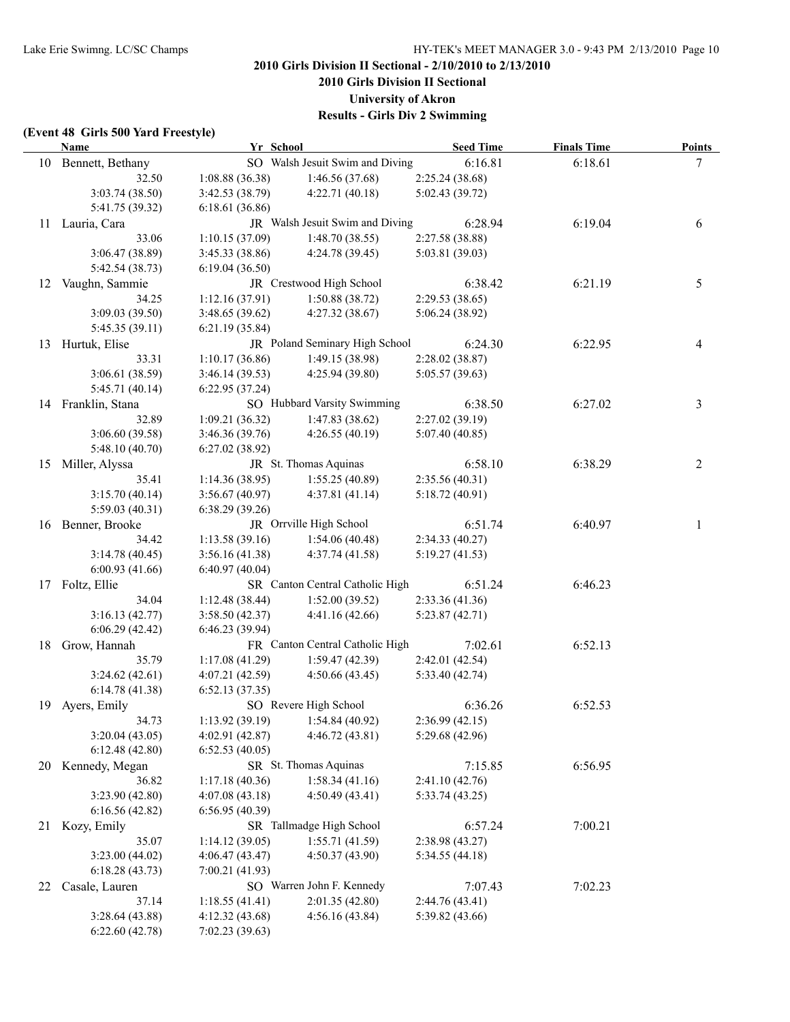**2010 Girls Division II Sectional**

**University of Akron**

**Results - Girls Div 2 Swimming**

#### **(Event 48 Girls 500 Yard Freestyle)**

|    | <b>Name</b>                      | Yr School                        |                                   | <b>Seed Time</b> | <b>Finals Time</b> | Points         |
|----|----------------------------------|----------------------------------|-----------------------------------|------------------|--------------------|----------------|
|    | 10 Bennett, Bethany              |                                  | SO Walsh Jesuit Swim and Diving   | 6:16.81          | 6:18.61            | 7              |
|    | 32.50                            | 1:08.88(36.38)                   | 1:46.56(37.68)                    | 2:25.24 (38.68)  |                    |                |
|    | 3:03.74 (38.50)                  | 3:42.53(38.79)                   | 4:22.71(40.18)                    | 5:02.43 (39.72)  |                    |                |
|    | 5:41.75 (39.32)                  | 6:18.61(36.86)                   |                                   |                  |                    |                |
|    | 11 Lauria, Cara                  |                                  | JR Walsh Jesuit Swim and Diving   | 6:28.94          | 6:19.04            | 6              |
|    | 33.06                            | 1:10.15(37.09)                   | 1:48.70(38.55)                    | 2:27.58 (38.88)  |                    |                |
|    | 3:06.47 (38.89)                  | 3:45.33(38.86)                   | 4:24.78 (39.45)                   | 5:03.81 (39.03)  |                    |                |
|    | 5:42.54 (38.73)                  | 6:19.04(36.50)                   |                                   |                  |                    |                |
|    | 12 Vaughn, Sammie                |                                  | JR Crestwood High School          | 6:38.42          | 6:21.19            | 5              |
|    | 34.25                            | 1:12.16(37.91)                   | 1:50.88(38.72)                    | 2:29.53 (38.65)  |                    |                |
|    | 3:09.03 (39.50)                  | 3:48.65(39.62)                   | 4:27.32(38.67)                    | 5:06.24(38.92)   |                    |                |
|    | 5:45.35 (39.11)                  | 6:21.19(35.84)                   |                                   |                  |                    |                |
|    | 13 Hurtuk, Elise                 |                                  | JR Poland Seminary High School    | 6:24.30          | 6:22.95            | 4              |
|    | 33.31                            | 1:10.17(36.86)                   | 1:49.15(38.98)                    | 2:28.02(38.87)   |                    |                |
|    | 3:06.61 (38.59)                  | 3:46.14(39.53)                   | 4:25.94(39.80)                    | 5:05.57(39.63)   |                    |                |
|    | 5:45.71 (40.14)                  | 6:22.95(37.24)                   |                                   |                  |                    |                |
|    | 14 Franklin, Stana               |                                  | SO Hubbard Varsity Swimming       | 6:38.50          | 6:27.02            | 3              |
|    | 32.89                            | 1:09.21(36.32)                   | 1:47.83(38.62)                    | 2:27.02 (39.19)  |                    |                |
|    | 3:06.60 (39.58)                  | 3:46.36(39.76)                   | 4:26.55(40.19)                    | 5:07.40(40.85)   |                    |                |
|    | 5:48.10(40.70)                   | 6:27.02 (38.92)                  |                                   |                  |                    |                |
|    | 15 Miller, Alyssa                |                                  | JR St. Thomas Aquinas             | 6:58.10          | 6:38.29            | $\overline{c}$ |
|    | 35.41                            | 1:14.36(38.95)                   | 1:55.25(40.89)                    | 2:35.56(40.31)   |                    |                |
|    | 3:15.70(40.14)                   | 3:56.67(40.97)                   | 4:37.81(41.14)                    | 5:18.72(40.91)   |                    |                |
|    | 5:59.03 (40.31)                  | 6:38.29(39.26)                   |                                   |                  |                    |                |
|    | 16 Benner, Brooke                |                                  | JR Orrville High School           | 6:51.74          | 6:40.97            | 1              |
|    | 34.42                            | 1:13.58(39.16)                   | 1:54.06(40.48)                    | 2:34.33(40.27)   |                    |                |
|    | 3:14.78(40.45)                   | 3:56.16(41.38)                   | 4:37.74(41.58)                    | 5:19.27(41.53)   |                    |                |
|    | 6:00.93(41.66)                   | 6:40.97(40.04)                   |                                   |                  |                    |                |
|    | 17 Foltz, Ellie                  |                                  | SR Canton Central Catholic High   | 6:51.24          | 6:46.23            |                |
|    | 34.04                            | 1:12.48(38.44)                   | 1:52.00(39.52)                    | 2:33.36(41.36)   |                    |                |
|    | 3:16.13(42.77)                   | 3:58.50(42.37)                   | 4:41.16(42.66)                    | 5:23.87(42.71)   |                    |                |
|    | 6:06.29(42.42)                   | 6:46.23(39.94)                   |                                   |                  |                    |                |
|    | 18 Grow, Hannah                  |                                  | FR Canton Central Catholic High   | 7:02.61          | 6:52.13            |                |
|    | 35.79                            | 1:17.08(41.29)                   | 1:59.47(42.39)                    | 2:42.01 (42.54)  |                    |                |
|    | 3:24.62(42.61)                   | 4:07.21(42.59)                   | 4:50.66(43.45)                    | 5:33.40(42.74)   |                    |                |
|    | 6:14.78(41.38)                   | 6:52.13(37.35)                   |                                   |                  |                    |                |
|    | 19 Ayers, Emily                  |                                  | SO Revere High School             | 6:36.26          | 6:52.53            |                |
|    | 34.73                            |                                  | 1:13.92 (39.19) $1:54.84$ (40.92) | 2:36.99(42.15)   |                    |                |
|    |                                  |                                  |                                   | 5:29.68 (42.96)  |                    |                |
|    | 3:20.04(43.05)<br>6:12.48(42.80) | 4:02.91(42.87)<br>6:52.53(40.05) | 4:46.72(43.81)                    |                  |                    |                |
|    |                                  |                                  | SR St. Thomas Aquinas             | 7:15.85          | 6:56.95            |                |
| 20 | Kennedy, Megan                   |                                  |                                   |                  |                    |                |
|    | 36.82                            | 1:17.18(40.36)                   | 1:58.34(41.16)                    | 2:41.10(42.76)   |                    |                |
|    | 3:23.90 (42.80)                  | 4:07.08(43.18)                   | 4:50.49(43.41)                    | 5:33.74(43.25)   |                    |                |
|    | 6:16.56(42.82)                   | 6:56.95(40.39)                   |                                   |                  |                    |                |
|    | 21 Kozy, Emily                   |                                  | SR Tallmadge High School          | 6:57.24          | 7:00.21            |                |
|    | 35.07                            | 1:14.12 (39.05)                  | 1:55.71(41.59)                    | 2:38.98 (43.27)  |                    |                |
|    | 3:23.00 (44.02)                  | 4:06.47(43.47)                   | 4:50.37 (43.90)                   | 5:34.55(44.18)   |                    |                |
|    | 6:18.28(43.73)                   | 7:00.21(41.93)                   |                                   |                  |                    |                |
| 22 | Casale, Lauren                   |                                  | SO Warren John F. Kennedy         | 7:07.43          | 7:02.23            |                |
|    | 37.14                            | 1:18.55(41.41)                   | 2:01.35 (42.80)                   | 2:44.76 (43.41)  |                    |                |
|    | 3:28.64(43.88)                   | 4:12.32(43.68)                   | 4:56.16(43.84)                    | 5:39.82 (43.66)  |                    |                |
|    | 6:22.60(42.78)                   | 7:02.23 (39.63)                  |                                   |                  |                    |                |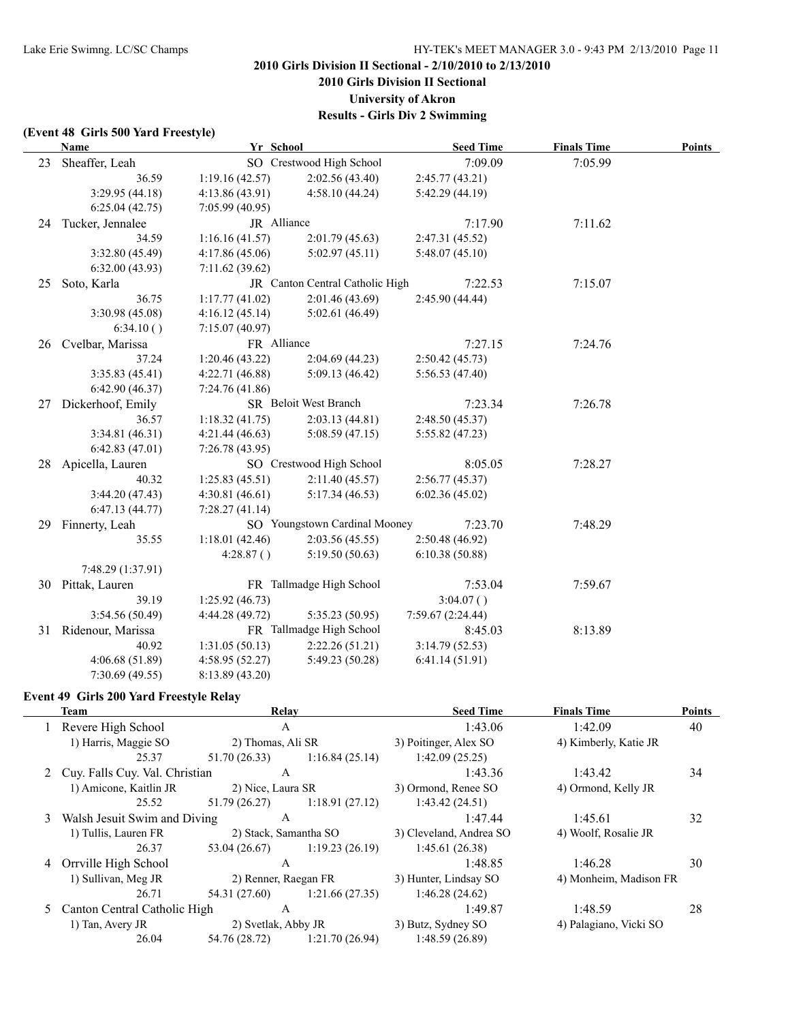**2010 Girls Division II Sectional**

**University of Akron**

**Results - Girls Div 2 Swimming**

#### **(Event 48 Girls 500 Yard Freestyle)**

|    | <b>Name</b>         | Yr School       |                                 | <b>Seed Time</b>  | <b>Finals Time</b> | <b>Points</b> |
|----|---------------------|-----------------|---------------------------------|-------------------|--------------------|---------------|
| 23 | Sheaffer, Leah      |                 | SO Crestwood High School        | 7:09.09           | 7:05.99            |               |
|    | 36.59               | 1:19.16(42.57)  | 2:02.56(43.40)                  | 2:45.77(43.21)    |                    |               |
|    | 3:29.95 (44.18)     | 4:13.86(43.91)  | 4:58.10(44.24)                  | 5:42.29 (44.19)   |                    |               |
|    | 6:25.04(42.75)      | 7:05.99(40.95)  |                                 |                   |                    |               |
|    | 24 Tucker, Jennalee | JR Alliance     |                                 | 7:17.90           | 7:11.62            |               |
|    | 34.59               | 1:16.16(41.57)  | 2:01.79(45.63)                  | 2:47.31 (45.52)   |                    |               |
|    | 3:32.80 (45.49)     | 4:17.86(45.06)  | 5:02.97(45.11)                  | 5:48.07(45.10)    |                    |               |
|    | 6:32.00(43.93)      | 7:11.62 (39.62) |                                 |                   |                    |               |
| 25 | Soto, Karla         |                 | JR Canton Central Catholic High | 7:22.53           | 7:15.07            |               |
|    | 36.75               | 1:17.77(41.02)  | 2:01.46(43.69)                  | 2:45.90 (44.44)   |                    |               |
|    | 3:30.98(45.08)      | 4:16.12(45.14)  | 5:02.61(46.49)                  |                   |                    |               |
|    | 6:34.10()           | 7:15.07(40.97)  |                                 |                   |                    |               |
| 26 | Cvelbar, Marissa    | FR Alliance     |                                 | 7:27.15           | 7:24.76            |               |
|    | 37.24               | 1:20.46(43.22)  | 2:04.69(44.23)                  | 2:50.42(45.73)    |                    |               |
|    | 3:35.83(45.41)      | 4:22.71(46.88)  | 5:09.13(46.42)                  | 5:56.53 (47.40)   |                    |               |
|    | 6:42.90(46.37)      | 7:24.76(41.86)  |                                 |                   |                    |               |
| 27 | Dickerhoof, Emily   |                 | SR Beloit West Branch           | 7:23.34           | 7:26.78            |               |
|    | 36.57               | 1:18.32(41.75)  | 2:03.13(44.81)                  | 2:48.50(45.37)    |                    |               |
|    | 3:34.81 (46.31)     | 4:21.44(46.63)  | 5:08.59(47.15)                  | 5:55.82(47.23)    |                    |               |
|    | 6:42.83(47.01)      | 7:26.78(43.95)  |                                 |                   |                    |               |
| 28 | Apicella, Lauren    |                 | SO Crestwood High School        | 8:05.05           | 7:28.27            |               |
|    | 40.32               | 1:25.83(45.51)  | 2:11.40(45.57)                  | 2:56.77(45.37)    |                    |               |
|    | 3:44.20(47.43)      | 4:30.81(46.61)  | 5:17.34(46.53)                  | 6:02.36(45.02)    |                    |               |
|    | 6:47.13(44.77)      | 7:28.27(41.14)  |                                 |                   |                    |               |
|    | 29 Finnerty, Leah   |                 | SO Youngstown Cardinal Mooney   | 7:23.70           | 7:48.29            |               |
|    | 35.55               | 1:18.01(42.46)  | 2:03.56 (45.55)                 | 2:50.48 (46.92)   |                    |               |
|    |                     | 4:28.87()       | 5:19.50(50.63)                  | 6:10.38(50.88)    |                    |               |
|    | 7:48.29 (1:37.91)   |                 |                                 |                   |                    |               |
|    | 30 Pittak, Lauren   |                 | FR Tallmadge High School        | 7:53.04           | 7:59.67            |               |
|    | 39.19               | 1:25.92(46.73)  |                                 | 3:04.07()         |                    |               |
|    | 3:54.56 (50.49)     | 4:44.28 (49.72) | 5:35.23 (50.95)                 | 7:59.67 (2:24.44) |                    |               |
| 31 | Ridenour, Marissa   |                 | FR Tallmadge High School        | 8:45.03           | 8:13.89            |               |
|    | 40.92               | 1:31.05(50.13)  | 2:22.26(51.21)                  | 3:14.79(52.53)    |                    |               |
|    | 4:06.68(51.89)      | 4:58.95(52.27)  | 5:49.23 (50.28)                 | 6:41.14(51.91)    |                    |               |
|    | 7:30.69(49.55)      | 8:13.89 (43.20) |                                 |                   |                    |               |

## **Event 49 Girls 200 Yard Freestyle Relay**

|   | Team                             | Relay                 |                                | <b>Seed Time</b>        | <b>Finals Time</b>     | <b>Points</b> |
|---|----------------------------------|-----------------------|--------------------------------|-------------------------|------------------------|---------------|
|   | Revere High School               | $\mathsf{A}$          |                                | 1:43.06                 | 1:42.09                | 40            |
|   | 1) Harris, Maggie SO             | 2) Thomas, Ali SR     |                                | 3) Poitinger, Alex SO   | 4) Kimberly, Katie JR  |               |
|   | 25.37                            | 51.70(26.33)          | 1:16.84(25.14)                 | 1:42.09(25.25)          |                        |               |
|   | 2 Cuy. Falls Cuy. Val. Christian | $\mathsf{A}$          |                                | 1:43.36                 | 1:43.42                | 34            |
|   | 1) Amicone, Kaitlin JR           | 2) Nice, Laura SR     |                                | 3) Ormond, Renee SO     | 4) Ormond, Kelly JR    |               |
|   | 25.52                            | 51.79 (26.27)         | 1:18.91(27.12)                 | 1:43.42(24.51)          |                        |               |
| 3 | Walsh Jesuit Swim and Diving     | A                     |                                | 1:47.44                 | 1:45.61                | 32            |
|   | 1) Tullis, Lauren FR             | 2) Stack, Samantha SO |                                | 3) Cleveland, Andrea SO | 4) Woolf, Rosalie JR   |               |
|   | 26.37                            |                       | $53.04(26.67)$ 1:19.23 (26.19) | 1:45.61(26.38)          |                        |               |
|   | 4 Orrville High School           | A                     |                                | 1:48.85                 | 1:46.28                | 30            |
|   | 1) Sullivan, Meg JR              | 2) Renner, Raegan FR  |                                | 3) Hunter, Lindsay SO   | 4) Monheim, Madison FR |               |
|   | 26.71                            |                       | $54.31(27.60)$ 1:21.66 (27.35) | 1:46.28(24.62)          |                        |               |
|   | 5 Canton Central Catholic High   | A                     |                                | 1:49.87                 | 1:48.59                | 28            |
|   | 1) Tan, Avery JR                 | 2) Svetlak, Abby JR   |                                | 3) Butz, Sydney SO      | 4) Palagiano, Vicki SO |               |
|   | 26.04                            |                       | 54.76 (28.72) 1:21.70 (26.94)  | 1:48.59(26.89)          |                        |               |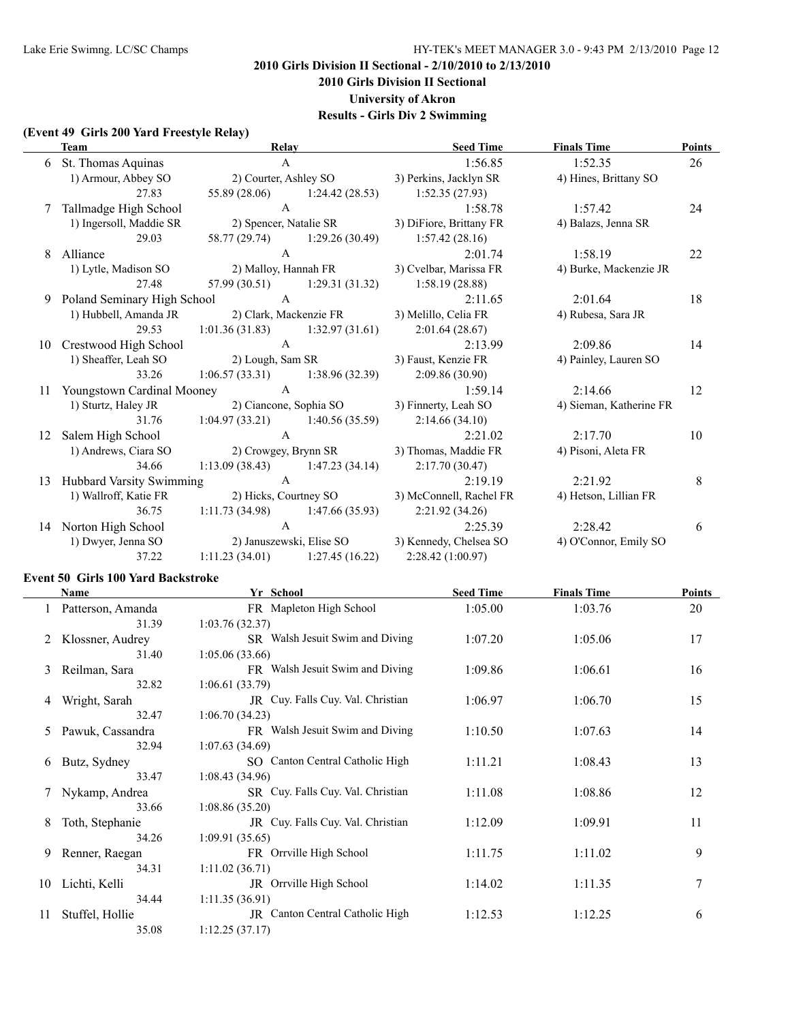**2010 Girls Division II Sectional**

**University of Akron**

**Results - Girls Div 2 Swimming**

## **(Event 49 Girls 200 Yard Freestyle Relay)**

|    | <b>Team</b>                     | Relay                           |                                   | <b>Seed Time</b>                                | <b>Finals Time</b>      | <b>Points</b> |
|----|---------------------------------|---------------------------------|-----------------------------------|-------------------------------------------------|-------------------------|---------------|
| 6  | St. Thomas Aquinas              | $\mathsf{A}$                    |                                   | 1:56.85                                         | 1:52.35                 | 26            |
|    | 1) Armour, Abbey SO             |                                 | 2) Courter, Ashley SO             | 3) Perkins, Jacklyn SR                          | 4) Hines, Brittany SO   |               |
|    | 27.83                           | 55.89 (28.06)                   | 1:24.42(28.53)                    | 1:52.35(27.93)                                  |                         |               |
| 7  | Tallmadge High School           | $\mathbf{A}$                    |                                   | 1:58.78                                         | 1:57.42                 | 24            |
|    | 1) Ingersoll, Maddie SR         |                                 | 2) Spencer, Natalie SR            | 3) DiFiore, Brittany FR                         | 4) Balazs, Jenna SR     |               |
|    | 29.03                           | 58.77 (29.74)                   | 1:29.26(30.49)                    | 1:57.42(28.16)                                  |                         |               |
| 8  | Alliance                        | $\mathbf{A}$                    |                                   | 2:01.74                                         | 1:58.19                 | 22            |
|    | 1) Lytle, Madison SO            |                                 | 2) Malloy, Hannah FR              | 3) Cvelbar, Marissa FR                          | 4) Burke, Mackenzie JR  |               |
|    | 27.48                           |                                 | $57.99(30.51)$ 1:29.31 (31.32)    | 1:58.19(28.88)                                  |                         |               |
| 9  | Poland Seminary High School     | $\overline{A}$                  |                                   | 2:11.65                                         | 2:01.64                 | 18            |
|    | 1) Hubbell, Amanda JR           |                                 | 2) Clark, Mackenzie FR            | 3) Melillo, Celia FR                            | 4) Rubesa, Sara JR      |               |
|    | 29.53                           |                                 |                                   | 1:01.36 (31.83) 1:32.97 (31.61) 2:01.64 (28.67) |                         |               |
| 10 | Crestwood High School           | $\mathbf{A}$                    |                                   | 2:13.99                                         | 2:09.86                 | 14            |
|    | 1) Sheaffer, Leah SO            | 2) Lough, Sam SR                |                                   | 3) Faust, Kenzie FR                             | 4) Painley, Lauren SO   |               |
|    | 33.26                           |                                 | $1:06.57(33.31)$ $1:38.96(32.39)$ | 2:09.86(30.90)                                  |                         |               |
| 11 | Youngstown Cardinal Mooney      | $\overline{A}$                  |                                   | 1:59.14                                         | 2:14.66                 | 12            |
|    | 1) Sturtz, Haley JR             |                                 |                                   | 2) Ciancone, Sophia SO 3) Finnerty, Leah SO     | 4) Sieman, Katherine FR |               |
|    | 31.76                           |                                 | $1:04.97(33.21)$ $1:40.56(35.59)$ | 2:14.66(34.10)                                  |                         |               |
| 12 | Salem High School               | $\mathbf{A}$                    |                                   | 2:21.02                                         | 2:17.70                 | 10            |
|    | 1) Andrews, Ciara SO            |                                 |                                   | 2) Crowgey, Brynn SR 3) Thomas, Maddie FR       | 4) Pisoni, Aleta FR     |               |
|    | 34.66                           |                                 |                                   | 1:13.09 (38.43) 1:47.23 (34.14) 2:17.70 (30.47) |                         |               |
| 13 | <b>Hubbard Varsity Swimming</b> | $\mathbf{A}$                    |                                   | 2:19.19                                         | 2:21.92                 | 8             |
|    | 1) Wallroff, Katie FR           |                                 | 2) Hicks, Courtney SO             | 3) McConnell, Rachel FR                         | 4) Hetson, Lillian FR   |               |
|    | 36.75                           |                                 | $1:11.73(34.98)$ $1:47.66(35.93)$ | 2:21.92(34.26)                                  |                         |               |
|    | 14 Norton High School           | $\mathsf{A}$                    |                                   | 2:25.39                                         | 2:28.42                 | 6             |
|    | 1) Dwyer, Jenna SO              |                                 | 2) Januszewski, Elise SO          | 3) Kennedy, Chelsea SO                          | 4) O'Connor, Emily SO   |               |
|    | 37.22                           | 1:11.23 (34.01) 1:27.45 (16.22) |                                   | 2:28.42 (1:00.97)                               |                         |               |

#### **Event 50 Girls 100 Yard Backstroke**

|    | <b>Name</b>       | Yr School                         | <b>Seed Time</b> | <b>Finals Time</b> | <b>Points</b> |
|----|-------------------|-----------------------------------|------------------|--------------------|---------------|
|    | Patterson, Amanda | FR Mapleton High School           | 1:05.00          | 1:03.76            | 20            |
|    | 31.39             | 1:03.76(32.37)                    |                  |                    |               |
|    | Klossner, Audrey  | SR Walsh Jesuit Swim and Diving   | 1:07.20          | 1:05.06            | 17            |
|    | 31.40             | 1:05.06(33.66)                    |                  |                    |               |
| 3  | Reilman, Sara     | FR Walsh Jesuit Swim and Diving   | 1:09.86          | 1:06.61            | 16            |
|    | 32.82             | 1:06.61(33.79)                    |                  |                    |               |
| 4  | Wright, Sarah     | JR Cuy. Falls Cuy. Val. Christian | 1:06.97          | 1:06.70            | 15            |
|    | 32.47             | 1:06.70(34.23)                    |                  |                    |               |
| 5. | Pawuk, Cassandra  | FR Walsh Jesuit Swim and Diving   | 1:10.50          | 1:07.63            | 14            |
|    | 32.94             | 1:07.63(34.69)                    |                  |                    |               |
| 6  | Butz, Sydney      | SO Canton Central Catholic High   | 1:11.21          | 1:08.43            | 13            |
|    | 33.47             | 1:08.43(34.96)                    |                  |                    |               |
|    | Nykamp, Andrea    | SR Cuy. Falls Cuy. Val. Christian | 1:11.08          | 1:08.86            | 12            |
|    | 33.66             | 1:08.86(35.20)                    |                  |                    |               |
| 8  | Toth, Stephanie   | JR Cuy. Falls Cuy. Val. Christian | 1:12.09          | 1:09.91            | 11            |
|    | 34.26             | 1:09.91(35.65)                    |                  |                    |               |
| 9  | Renner, Raegan    | FR Orrville High School           | 1:11.75          | 1:11.02            | 9             |
|    | 34.31             | 1:11.02(36.71)                    |                  |                    |               |
| 10 | Lichti, Kelli     | <b>JR</b> Orrville High School    | 1:14.02          | 1:11.35            | 7             |
|    | 34.44             | 1:11.35(36.91)                    |                  |                    |               |
| 11 | Stuffel, Hollie   | JR Canton Central Catholic High   | 1:12.53          | 1:12.25            | 6             |
|    | 35.08             | 1:12.25(37.17)                    |                  |                    |               |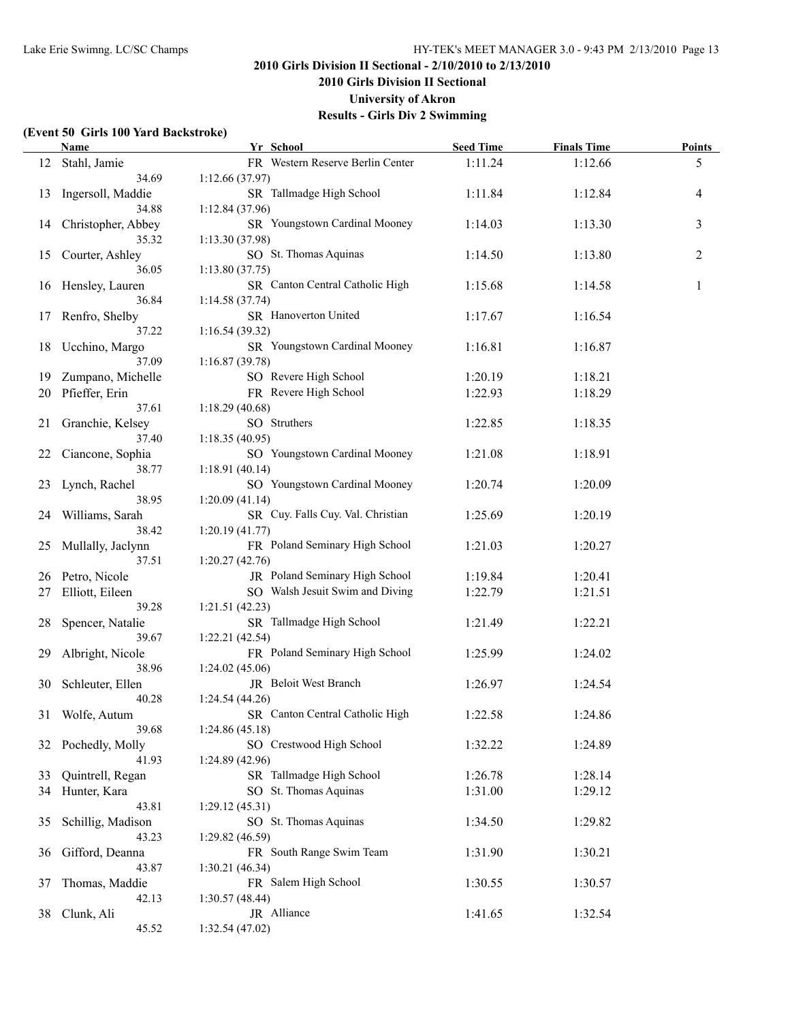**2010 Girls Division II Sectional**

**University of Akron**

**Results - Girls Div 2 Swimming**

### **(Event 50 Girls 100 Yard Backstroke)**

| FR Western Reserve Berlin Center<br>1:11.24<br>1:12.66<br>5<br>Stahl, Jamie<br>12<br>34.69<br>1:12.66(37.97)<br>SR Tallmadge High School<br>Ingersoll, Maddie<br>1:11.84<br>1:12.84<br>13<br>4<br>34.88<br>1:12.84 (37.96)<br>SR Youngstown Cardinal Mooney<br>3<br>1:14.03<br>Christopher, Abbey<br>1:13.30<br>14<br>35.32<br>1:13.30(37.98)<br>SO St. Thomas Aquinas<br>$\overline{c}$<br>1:14.50<br>1:13.80<br>15<br>Courter, Ashley<br>1:13.80(37.75)<br>36.05<br>Hensley, Lauren<br>SR Canton Central Catholic High<br>1:15.68<br>1:14.58<br>1<br>16<br>36.84<br>1:14.58(37.74)<br>SR Hanoverton United<br>Renfro, Shelby<br>1:17.67<br>1:16.54<br>17<br>1:16.54 (39.32)<br>37.22<br>SR Youngstown Cardinal Mooney<br>1:16.81<br>1:16.87<br>18<br>Ucchino, Margo<br>37.09<br>1:16.87(39.78)<br>SO Revere High School<br>Zumpano, Michelle<br>1:20.19<br>1:18.21<br>19<br>FR Revere High School<br>Pfieffer, Erin<br>1:22.93<br>20<br>1:18.29<br>37.61<br>1:18.29(40.68)<br>SO Struthers<br>Granchie, Kelsey<br>1:22.85<br>1:18.35<br>21<br>37.40<br>1:18.35(40.95)<br>SO Youngstown Cardinal Mooney<br>1:21.08<br>1:18.91<br>22<br>Ciancone, Sophia<br>1:18.91 (40.14)<br>38.77<br>SO Youngstown Cardinal Mooney<br>1:20.74<br>1:20.09<br>Lynch, Rachel<br>23<br>38.95<br>1:20.09(41.14)<br>SR Cuy. Falls Cuy. Val. Christian<br>1:25.69<br>Williams, Sarah<br>1:20.19<br>24<br>38.42<br>1:20.19(41.77)<br>FR Poland Seminary High School<br>1:21.03<br>1:20.27<br>Mullally, Jaclynn<br>25<br>1:20.27(42.76)<br>37.51<br>JR Poland Seminary High School<br>Petro, Nicole<br>1:19.84<br>1:20.41<br>26<br>SO Walsh Jesuit Swim and Diving<br>1:22.79<br>Elliott, Eileen<br>1:21.51<br>27<br>39.28<br>1:21.51 (42.23)<br>SR Tallmadge High School<br>1:21.49<br>1:22.21<br>Spencer, Natalie<br>28<br>1:22.21 (42.54)<br>39.67<br>FR Poland Seminary High School<br>1:24.02<br>29<br>Albright, Nicole<br>1:25.99<br>1:24.02 (45.06)<br>38.96<br>JR Beloit West Branch<br>30<br>Schleuter, Ellen<br>1:26.97<br>1:24.54<br>1:24.54(44.26)<br>40.28<br>SR Canton Central Catholic High<br>1:22.58<br>1:24.86<br>31 Wolfe, Autum<br>39.68<br>1:24.86(45.18)<br>SO Crestwood High School<br>1:32.22<br>32 Pochedly, Molly<br>1:24.89<br>41.93<br>1:24.89(42.96)<br>Quintrell, Regan<br>SR Tallmadge High School<br>1:26.78<br>1:28.14<br>33<br>SO St. Thomas Aquinas<br>1:31.00<br>1:29.12<br>34 Hunter, Kara<br>43.81<br>1:29.12(45.31)<br>SO St. Thomas Aquinas<br>Schillig, Madison<br>1:34.50<br>1:29.82<br>35<br>43.23<br>1:29.82(46.59)<br>FR South Range Swim Team<br>1:31.90<br>1:30.21<br>Gifford, Deanna<br>36<br>43.87<br>1:30.21(46.34)<br>FR Salem High School<br>1:30.55<br>Thomas, Maddie<br>1:30.57<br>37<br>42.13<br>1:30.57(48.44)<br>JR Alliance<br>1:41.65<br>1:32.54<br>38<br>Clunk, Ali | Name  | Yr School       | <b>Seed Time</b> | <b>Finals Time</b> | <b>Points</b> |
|-----------------------------------------------------------------------------------------------------------------------------------------------------------------------------------------------------------------------------------------------------------------------------------------------------------------------------------------------------------------------------------------------------------------------------------------------------------------------------------------------------------------------------------------------------------------------------------------------------------------------------------------------------------------------------------------------------------------------------------------------------------------------------------------------------------------------------------------------------------------------------------------------------------------------------------------------------------------------------------------------------------------------------------------------------------------------------------------------------------------------------------------------------------------------------------------------------------------------------------------------------------------------------------------------------------------------------------------------------------------------------------------------------------------------------------------------------------------------------------------------------------------------------------------------------------------------------------------------------------------------------------------------------------------------------------------------------------------------------------------------------------------------------------------------------------------------------------------------------------------------------------------------------------------------------------------------------------------------------------------------------------------------------------------------------------------------------------------------------------------------------------------------------------------------------------------------------------------------------------------------------------------------------------------------------------------------------------------------------------------------------------------------------------------------------------------------------------------------------------------------------------------------------------------------------------------------------------------------------------------------------------------------------------------------------------------------------------------------------------------------------------------------------------------------------------|-------|-----------------|------------------|--------------------|---------------|
|                                                                                                                                                                                                                                                                                                                                                                                                                                                                                                                                                                                                                                                                                                                                                                                                                                                                                                                                                                                                                                                                                                                                                                                                                                                                                                                                                                                                                                                                                                                                                                                                                                                                                                                                                                                                                                                                                                                                                                                                                                                                                                                                                                                                                                                                                                                                                                                                                                                                                                                                                                                                                                                                                                                                                                                                           |       |                 |                  |                    |               |
|                                                                                                                                                                                                                                                                                                                                                                                                                                                                                                                                                                                                                                                                                                                                                                                                                                                                                                                                                                                                                                                                                                                                                                                                                                                                                                                                                                                                                                                                                                                                                                                                                                                                                                                                                                                                                                                                                                                                                                                                                                                                                                                                                                                                                                                                                                                                                                                                                                                                                                                                                                                                                                                                                                                                                                                                           |       |                 |                  |                    |               |
|                                                                                                                                                                                                                                                                                                                                                                                                                                                                                                                                                                                                                                                                                                                                                                                                                                                                                                                                                                                                                                                                                                                                                                                                                                                                                                                                                                                                                                                                                                                                                                                                                                                                                                                                                                                                                                                                                                                                                                                                                                                                                                                                                                                                                                                                                                                                                                                                                                                                                                                                                                                                                                                                                                                                                                                                           |       |                 |                  |                    |               |
|                                                                                                                                                                                                                                                                                                                                                                                                                                                                                                                                                                                                                                                                                                                                                                                                                                                                                                                                                                                                                                                                                                                                                                                                                                                                                                                                                                                                                                                                                                                                                                                                                                                                                                                                                                                                                                                                                                                                                                                                                                                                                                                                                                                                                                                                                                                                                                                                                                                                                                                                                                                                                                                                                                                                                                                                           |       |                 |                  |                    |               |
|                                                                                                                                                                                                                                                                                                                                                                                                                                                                                                                                                                                                                                                                                                                                                                                                                                                                                                                                                                                                                                                                                                                                                                                                                                                                                                                                                                                                                                                                                                                                                                                                                                                                                                                                                                                                                                                                                                                                                                                                                                                                                                                                                                                                                                                                                                                                                                                                                                                                                                                                                                                                                                                                                                                                                                                                           |       |                 |                  |                    |               |
|                                                                                                                                                                                                                                                                                                                                                                                                                                                                                                                                                                                                                                                                                                                                                                                                                                                                                                                                                                                                                                                                                                                                                                                                                                                                                                                                                                                                                                                                                                                                                                                                                                                                                                                                                                                                                                                                                                                                                                                                                                                                                                                                                                                                                                                                                                                                                                                                                                                                                                                                                                                                                                                                                                                                                                                                           |       |                 |                  |                    |               |
|                                                                                                                                                                                                                                                                                                                                                                                                                                                                                                                                                                                                                                                                                                                                                                                                                                                                                                                                                                                                                                                                                                                                                                                                                                                                                                                                                                                                                                                                                                                                                                                                                                                                                                                                                                                                                                                                                                                                                                                                                                                                                                                                                                                                                                                                                                                                                                                                                                                                                                                                                                                                                                                                                                                                                                                                           |       |                 |                  |                    |               |
|                                                                                                                                                                                                                                                                                                                                                                                                                                                                                                                                                                                                                                                                                                                                                                                                                                                                                                                                                                                                                                                                                                                                                                                                                                                                                                                                                                                                                                                                                                                                                                                                                                                                                                                                                                                                                                                                                                                                                                                                                                                                                                                                                                                                                                                                                                                                                                                                                                                                                                                                                                                                                                                                                                                                                                                                           |       |                 |                  |                    |               |
|                                                                                                                                                                                                                                                                                                                                                                                                                                                                                                                                                                                                                                                                                                                                                                                                                                                                                                                                                                                                                                                                                                                                                                                                                                                                                                                                                                                                                                                                                                                                                                                                                                                                                                                                                                                                                                                                                                                                                                                                                                                                                                                                                                                                                                                                                                                                                                                                                                                                                                                                                                                                                                                                                                                                                                                                           |       |                 |                  |                    |               |
|                                                                                                                                                                                                                                                                                                                                                                                                                                                                                                                                                                                                                                                                                                                                                                                                                                                                                                                                                                                                                                                                                                                                                                                                                                                                                                                                                                                                                                                                                                                                                                                                                                                                                                                                                                                                                                                                                                                                                                                                                                                                                                                                                                                                                                                                                                                                                                                                                                                                                                                                                                                                                                                                                                                                                                                                           |       |                 |                  |                    |               |
|                                                                                                                                                                                                                                                                                                                                                                                                                                                                                                                                                                                                                                                                                                                                                                                                                                                                                                                                                                                                                                                                                                                                                                                                                                                                                                                                                                                                                                                                                                                                                                                                                                                                                                                                                                                                                                                                                                                                                                                                                                                                                                                                                                                                                                                                                                                                                                                                                                                                                                                                                                                                                                                                                                                                                                                                           |       |                 |                  |                    |               |
|                                                                                                                                                                                                                                                                                                                                                                                                                                                                                                                                                                                                                                                                                                                                                                                                                                                                                                                                                                                                                                                                                                                                                                                                                                                                                                                                                                                                                                                                                                                                                                                                                                                                                                                                                                                                                                                                                                                                                                                                                                                                                                                                                                                                                                                                                                                                                                                                                                                                                                                                                                                                                                                                                                                                                                                                           |       |                 |                  |                    |               |
|                                                                                                                                                                                                                                                                                                                                                                                                                                                                                                                                                                                                                                                                                                                                                                                                                                                                                                                                                                                                                                                                                                                                                                                                                                                                                                                                                                                                                                                                                                                                                                                                                                                                                                                                                                                                                                                                                                                                                                                                                                                                                                                                                                                                                                                                                                                                                                                                                                                                                                                                                                                                                                                                                                                                                                                                           |       |                 |                  |                    |               |
|                                                                                                                                                                                                                                                                                                                                                                                                                                                                                                                                                                                                                                                                                                                                                                                                                                                                                                                                                                                                                                                                                                                                                                                                                                                                                                                                                                                                                                                                                                                                                                                                                                                                                                                                                                                                                                                                                                                                                                                                                                                                                                                                                                                                                                                                                                                                                                                                                                                                                                                                                                                                                                                                                                                                                                                                           |       |                 |                  |                    |               |
|                                                                                                                                                                                                                                                                                                                                                                                                                                                                                                                                                                                                                                                                                                                                                                                                                                                                                                                                                                                                                                                                                                                                                                                                                                                                                                                                                                                                                                                                                                                                                                                                                                                                                                                                                                                                                                                                                                                                                                                                                                                                                                                                                                                                                                                                                                                                                                                                                                                                                                                                                                                                                                                                                                                                                                                                           |       |                 |                  |                    |               |
|                                                                                                                                                                                                                                                                                                                                                                                                                                                                                                                                                                                                                                                                                                                                                                                                                                                                                                                                                                                                                                                                                                                                                                                                                                                                                                                                                                                                                                                                                                                                                                                                                                                                                                                                                                                                                                                                                                                                                                                                                                                                                                                                                                                                                                                                                                                                                                                                                                                                                                                                                                                                                                                                                                                                                                                                           |       |                 |                  |                    |               |
|                                                                                                                                                                                                                                                                                                                                                                                                                                                                                                                                                                                                                                                                                                                                                                                                                                                                                                                                                                                                                                                                                                                                                                                                                                                                                                                                                                                                                                                                                                                                                                                                                                                                                                                                                                                                                                                                                                                                                                                                                                                                                                                                                                                                                                                                                                                                                                                                                                                                                                                                                                                                                                                                                                                                                                                                           |       |                 |                  |                    |               |
|                                                                                                                                                                                                                                                                                                                                                                                                                                                                                                                                                                                                                                                                                                                                                                                                                                                                                                                                                                                                                                                                                                                                                                                                                                                                                                                                                                                                                                                                                                                                                                                                                                                                                                                                                                                                                                                                                                                                                                                                                                                                                                                                                                                                                                                                                                                                                                                                                                                                                                                                                                                                                                                                                                                                                                                                           |       |                 |                  |                    |               |
|                                                                                                                                                                                                                                                                                                                                                                                                                                                                                                                                                                                                                                                                                                                                                                                                                                                                                                                                                                                                                                                                                                                                                                                                                                                                                                                                                                                                                                                                                                                                                                                                                                                                                                                                                                                                                                                                                                                                                                                                                                                                                                                                                                                                                                                                                                                                                                                                                                                                                                                                                                                                                                                                                                                                                                                                           |       |                 |                  |                    |               |
|                                                                                                                                                                                                                                                                                                                                                                                                                                                                                                                                                                                                                                                                                                                                                                                                                                                                                                                                                                                                                                                                                                                                                                                                                                                                                                                                                                                                                                                                                                                                                                                                                                                                                                                                                                                                                                                                                                                                                                                                                                                                                                                                                                                                                                                                                                                                                                                                                                                                                                                                                                                                                                                                                                                                                                                                           |       |                 |                  |                    |               |
|                                                                                                                                                                                                                                                                                                                                                                                                                                                                                                                                                                                                                                                                                                                                                                                                                                                                                                                                                                                                                                                                                                                                                                                                                                                                                                                                                                                                                                                                                                                                                                                                                                                                                                                                                                                                                                                                                                                                                                                                                                                                                                                                                                                                                                                                                                                                                                                                                                                                                                                                                                                                                                                                                                                                                                                                           |       |                 |                  |                    |               |
|                                                                                                                                                                                                                                                                                                                                                                                                                                                                                                                                                                                                                                                                                                                                                                                                                                                                                                                                                                                                                                                                                                                                                                                                                                                                                                                                                                                                                                                                                                                                                                                                                                                                                                                                                                                                                                                                                                                                                                                                                                                                                                                                                                                                                                                                                                                                                                                                                                                                                                                                                                                                                                                                                                                                                                                                           |       |                 |                  |                    |               |
|                                                                                                                                                                                                                                                                                                                                                                                                                                                                                                                                                                                                                                                                                                                                                                                                                                                                                                                                                                                                                                                                                                                                                                                                                                                                                                                                                                                                                                                                                                                                                                                                                                                                                                                                                                                                                                                                                                                                                                                                                                                                                                                                                                                                                                                                                                                                                                                                                                                                                                                                                                                                                                                                                                                                                                                                           |       |                 |                  |                    |               |
|                                                                                                                                                                                                                                                                                                                                                                                                                                                                                                                                                                                                                                                                                                                                                                                                                                                                                                                                                                                                                                                                                                                                                                                                                                                                                                                                                                                                                                                                                                                                                                                                                                                                                                                                                                                                                                                                                                                                                                                                                                                                                                                                                                                                                                                                                                                                                                                                                                                                                                                                                                                                                                                                                                                                                                                                           |       |                 |                  |                    |               |
|                                                                                                                                                                                                                                                                                                                                                                                                                                                                                                                                                                                                                                                                                                                                                                                                                                                                                                                                                                                                                                                                                                                                                                                                                                                                                                                                                                                                                                                                                                                                                                                                                                                                                                                                                                                                                                                                                                                                                                                                                                                                                                                                                                                                                                                                                                                                                                                                                                                                                                                                                                                                                                                                                                                                                                                                           |       |                 |                  |                    |               |
|                                                                                                                                                                                                                                                                                                                                                                                                                                                                                                                                                                                                                                                                                                                                                                                                                                                                                                                                                                                                                                                                                                                                                                                                                                                                                                                                                                                                                                                                                                                                                                                                                                                                                                                                                                                                                                                                                                                                                                                                                                                                                                                                                                                                                                                                                                                                                                                                                                                                                                                                                                                                                                                                                                                                                                                                           |       |                 |                  |                    |               |
|                                                                                                                                                                                                                                                                                                                                                                                                                                                                                                                                                                                                                                                                                                                                                                                                                                                                                                                                                                                                                                                                                                                                                                                                                                                                                                                                                                                                                                                                                                                                                                                                                                                                                                                                                                                                                                                                                                                                                                                                                                                                                                                                                                                                                                                                                                                                                                                                                                                                                                                                                                                                                                                                                                                                                                                                           |       |                 |                  |                    |               |
|                                                                                                                                                                                                                                                                                                                                                                                                                                                                                                                                                                                                                                                                                                                                                                                                                                                                                                                                                                                                                                                                                                                                                                                                                                                                                                                                                                                                                                                                                                                                                                                                                                                                                                                                                                                                                                                                                                                                                                                                                                                                                                                                                                                                                                                                                                                                                                                                                                                                                                                                                                                                                                                                                                                                                                                                           |       |                 |                  |                    |               |
|                                                                                                                                                                                                                                                                                                                                                                                                                                                                                                                                                                                                                                                                                                                                                                                                                                                                                                                                                                                                                                                                                                                                                                                                                                                                                                                                                                                                                                                                                                                                                                                                                                                                                                                                                                                                                                                                                                                                                                                                                                                                                                                                                                                                                                                                                                                                                                                                                                                                                                                                                                                                                                                                                                                                                                                                           |       |                 |                  |                    |               |
|                                                                                                                                                                                                                                                                                                                                                                                                                                                                                                                                                                                                                                                                                                                                                                                                                                                                                                                                                                                                                                                                                                                                                                                                                                                                                                                                                                                                                                                                                                                                                                                                                                                                                                                                                                                                                                                                                                                                                                                                                                                                                                                                                                                                                                                                                                                                                                                                                                                                                                                                                                                                                                                                                                                                                                                                           |       |                 |                  |                    |               |
|                                                                                                                                                                                                                                                                                                                                                                                                                                                                                                                                                                                                                                                                                                                                                                                                                                                                                                                                                                                                                                                                                                                                                                                                                                                                                                                                                                                                                                                                                                                                                                                                                                                                                                                                                                                                                                                                                                                                                                                                                                                                                                                                                                                                                                                                                                                                                                                                                                                                                                                                                                                                                                                                                                                                                                                                           |       |                 |                  |                    |               |
|                                                                                                                                                                                                                                                                                                                                                                                                                                                                                                                                                                                                                                                                                                                                                                                                                                                                                                                                                                                                                                                                                                                                                                                                                                                                                                                                                                                                                                                                                                                                                                                                                                                                                                                                                                                                                                                                                                                                                                                                                                                                                                                                                                                                                                                                                                                                                                                                                                                                                                                                                                                                                                                                                                                                                                                                           |       |                 |                  |                    |               |
|                                                                                                                                                                                                                                                                                                                                                                                                                                                                                                                                                                                                                                                                                                                                                                                                                                                                                                                                                                                                                                                                                                                                                                                                                                                                                                                                                                                                                                                                                                                                                                                                                                                                                                                                                                                                                                                                                                                                                                                                                                                                                                                                                                                                                                                                                                                                                                                                                                                                                                                                                                                                                                                                                                                                                                                                           |       |                 |                  |                    |               |
|                                                                                                                                                                                                                                                                                                                                                                                                                                                                                                                                                                                                                                                                                                                                                                                                                                                                                                                                                                                                                                                                                                                                                                                                                                                                                                                                                                                                                                                                                                                                                                                                                                                                                                                                                                                                                                                                                                                                                                                                                                                                                                                                                                                                                                                                                                                                                                                                                                                                                                                                                                                                                                                                                                                                                                                                           |       |                 |                  |                    |               |
|                                                                                                                                                                                                                                                                                                                                                                                                                                                                                                                                                                                                                                                                                                                                                                                                                                                                                                                                                                                                                                                                                                                                                                                                                                                                                                                                                                                                                                                                                                                                                                                                                                                                                                                                                                                                                                                                                                                                                                                                                                                                                                                                                                                                                                                                                                                                                                                                                                                                                                                                                                                                                                                                                                                                                                                                           |       |                 |                  |                    |               |
|                                                                                                                                                                                                                                                                                                                                                                                                                                                                                                                                                                                                                                                                                                                                                                                                                                                                                                                                                                                                                                                                                                                                                                                                                                                                                                                                                                                                                                                                                                                                                                                                                                                                                                                                                                                                                                                                                                                                                                                                                                                                                                                                                                                                                                                                                                                                                                                                                                                                                                                                                                                                                                                                                                                                                                                                           |       |                 |                  |                    |               |
|                                                                                                                                                                                                                                                                                                                                                                                                                                                                                                                                                                                                                                                                                                                                                                                                                                                                                                                                                                                                                                                                                                                                                                                                                                                                                                                                                                                                                                                                                                                                                                                                                                                                                                                                                                                                                                                                                                                                                                                                                                                                                                                                                                                                                                                                                                                                                                                                                                                                                                                                                                                                                                                                                                                                                                                                           |       |                 |                  |                    |               |
|                                                                                                                                                                                                                                                                                                                                                                                                                                                                                                                                                                                                                                                                                                                                                                                                                                                                                                                                                                                                                                                                                                                                                                                                                                                                                                                                                                                                                                                                                                                                                                                                                                                                                                                                                                                                                                                                                                                                                                                                                                                                                                                                                                                                                                                                                                                                                                                                                                                                                                                                                                                                                                                                                                                                                                                                           |       |                 |                  |                    |               |
|                                                                                                                                                                                                                                                                                                                                                                                                                                                                                                                                                                                                                                                                                                                                                                                                                                                                                                                                                                                                                                                                                                                                                                                                                                                                                                                                                                                                                                                                                                                                                                                                                                                                                                                                                                                                                                                                                                                                                                                                                                                                                                                                                                                                                                                                                                                                                                                                                                                                                                                                                                                                                                                                                                                                                                                                           |       |                 |                  |                    |               |
|                                                                                                                                                                                                                                                                                                                                                                                                                                                                                                                                                                                                                                                                                                                                                                                                                                                                                                                                                                                                                                                                                                                                                                                                                                                                                                                                                                                                                                                                                                                                                                                                                                                                                                                                                                                                                                                                                                                                                                                                                                                                                                                                                                                                                                                                                                                                                                                                                                                                                                                                                                                                                                                                                                                                                                                                           |       |                 |                  |                    |               |
|                                                                                                                                                                                                                                                                                                                                                                                                                                                                                                                                                                                                                                                                                                                                                                                                                                                                                                                                                                                                                                                                                                                                                                                                                                                                                                                                                                                                                                                                                                                                                                                                                                                                                                                                                                                                                                                                                                                                                                                                                                                                                                                                                                                                                                                                                                                                                                                                                                                                                                                                                                                                                                                                                                                                                                                                           |       |                 |                  |                    |               |
|                                                                                                                                                                                                                                                                                                                                                                                                                                                                                                                                                                                                                                                                                                                                                                                                                                                                                                                                                                                                                                                                                                                                                                                                                                                                                                                                                                                                                                                                                                                                                                                                                                                                                                                                                                                                                                                                                                                                                                                                                                                                                                                                                                                                                                                                                                                                                                                                                                                                                                                                                                                                                                                                                                                                                                                                           |       |                 |                  |                    |               |
|                                                                                                                                                                                                                                                                                                                                                                                                                                                                                                                                                                                                                                                                                                                                                                                                                                                                                                                                                                                                                                                                                                                                                                                                                                                                                                                                                                                                                                                                                                                                                                                                                                                                                                                                                                                                                                                                                                                                                                                                                                                                                                                                                                                                                                                                                                                                                                                                                                                                                                                                                                                                                                                                                                                                                                                                           |       |                 |                  |                    |               |
|                                                                                                                                                                                                                                                                                                                                                                                                                                                                                                                                                                                                                                                                                                                                                                                                                                                                                                                                                                                                                                                                                                                                                                                                                                                                                                                                                                                                                                                                                                                                                                                                                                                                                                                                                                                                                                                                                                                                                                                                                                                                                                                                                                                                                                                                                                                                                                                                                                                                                                                                                                                                                                                                                                                                                                                                           |       |                 |                  |                    |               |
|                                                                                                                                                                                                                                                                                                                                                                                                                                                                                                                                                                                                                                                                                                                                                                                                                                                                                                                                                                                                                                                                                                                                                                                                                                                                                                                                                                                                                                                                                                                                                                                                                                                                                                                                                                                                                                                                                                                                                                                                                                                                                                                                                                                                                                                                                                                                                                                                                                                                                                                                                                                                                                                                                                                                                                                                           |       |                 |                  |                    |               |
|                                                                                                                                                                                                                                                                                                                                                                                                                                                                                                                                                                                                                                                                                                                                                                                                                                                                                                                                                                                                                                                                                                                                                                                                                                                                                                                                                                                                                                                                                                                                                                                                                                                                                                                                                                                                                                                                                                                                                                                                                                                                                                                                                                                                                                                                                                                                                                                                                                                                                                                                                                                                                                                                                                                                                                                                           |       |                 |                  |                    |               |
|                                                                                                                                                                                                                                                                                                                                                                                                                                                                                                                                                                                                                                                                                                                                                                                                                                                                                                                                                                                                                                                                                                                                                                                                                                                                                                                                                                                                                                                                                                                                                                                                                                                                                                                                                                                                                                                                                                                                                                                                                                                                                                                                                                                                                                                                                                                                                                                                                                                                                                                                                                                                                                                                                                                                                                                                           |       |                 |                  |                    |               |
|                                                                                                                                                                                                                                                                                                                                                                                                                                                                                                                                                                                                                                                                                                                                                                                                                                                                                                                                                                                                                                                                                                                                                                                                                                                                                                                                                                                                                                                                                                                                                                                                                                                                                                                                                                                                                                                                                                                                                                                                                                                                                                                                                                                                                                                                                                                                                                                                                                                                                                                                                                                                                                                                                                                                                                                                           |       |                 |                  |                    |               |
|                                                                                                                                                                                                                                                                                                                                                                                                                                                                                                                                                                                                                                                                                                                                                                                                                                                                                                                                                                                                                                                                                                                                                                                                                                                                                                                                                                                                                                                                                                                                                                                                                                                                                                                                                                                                                                                                                                                                                                                                                                                                                                                                                                                                                                                                                                                                                                                                                                                                                                                                                                                                                                                                                                                                                                                                           |       |                 |                  |                    |               |
|                                                                                                                                                                                                                                                                                                                                                                                                                                                                                                                                                                                                                                                                                                                                                                                                                                                                                                                                                                                                                                                                                                                                                                                                                                                                                                                                                                                                                                                                                                                                                                                                                                                                                                                                                                                                                                                                                                                                                                                                                                                                                                                                                                                                                                                                                                                                                                                                                                                                                                                                                                                                                                                                                                                                                                                                           |       |                 |                  |                    |               |
|                                                                                                                                                                                                                                                                                                                                                                                                                                                                                                                                                                                                                                                                                                                                                                                                                                                                                                                                                                                                                                                                                                                                                                                                                                                                                                                                                                                                                                                                                                                                                                                                                                                                                                                                                                                                                                                                                                                                                                                                                                                                                                                                                                                                                                                                                                                                                                                                                                                                                                                                                                                                                                                                                                                                                                                                           | 45.52 | 1:32.54 (47.02) |                  |                    |               |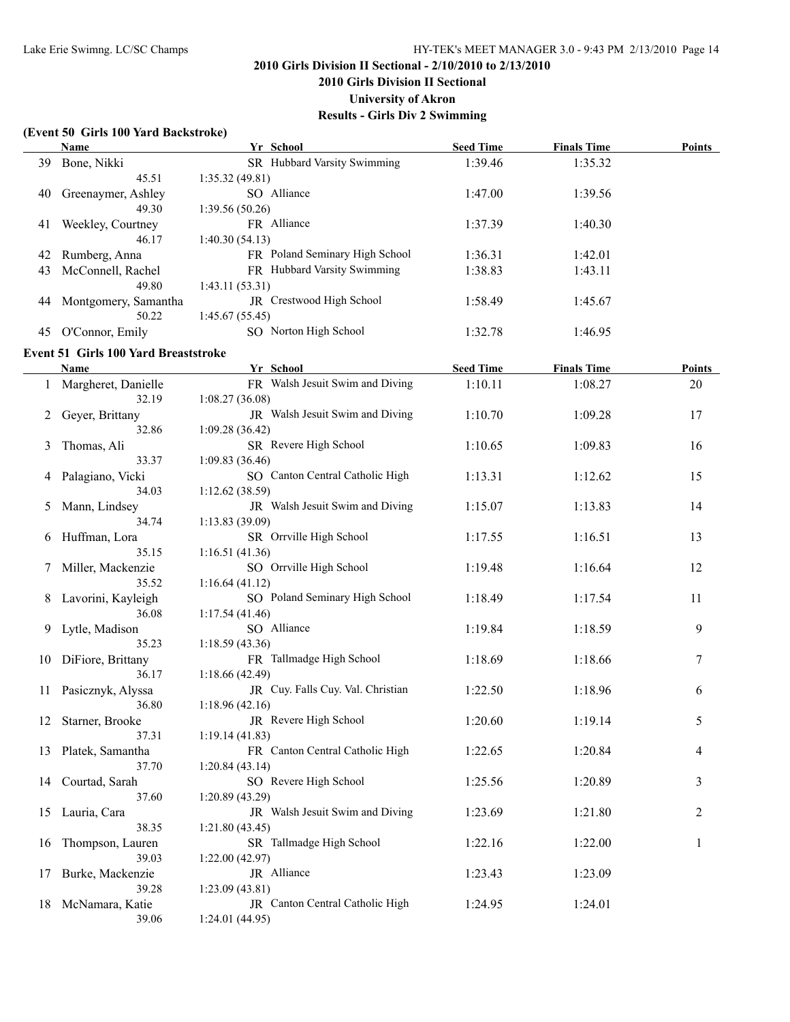**2010 Girls Division II Sectional**

**University of Akron**

**Results - Girls Div 2 Swimming**

### **(Event 50 Girls 100 Yard Backstroke)**

|    | Name                                        | Yr School                                        | <b>Seed Time</b> | <b>Finals Time</b> | <b>Points</b> |
|----|---------------------------------------------|--------------------------------------------------|------------------|--------------------|---------------|
| 39 | Bone, Nikki                                 | SR Hubbard Varsity Swimming                      | 1:39.46          | 1:35.32            |               |
|    | 45.51                                       | 1:35.32(49.81)                                   |                  |                    |               |
| 40 | Greenaymer, Ashley                          | SO Alliance                                      | 1:47.00          | 1:39.56            |               |
|    | 49.30                                       | 1:39.56(50.26)                                   |                  |                    |               |
| 41 | Weekley, Courtney                           | FR Alliance                                      | 1:37.39          | 1:40.30            |               |
|    | 46.17                                       | 1:40.30(54.13)                                   |                  |                    |               |
| 42 | Rumberg, Anna                               | FR Poland Seminary High School                   | 1:36.31          | 1:42.01            |               |
| 43 | McConnell, Rachel                           | FR Hubbard Varsity Swimming                      | 1:38.83          | 1:43.11            |               |
|    | 49.80                                       | 1:43.11(53.31)                                   |                  |                    |               |
| 44 | Montgomery, Samantha                        | JR Crestwood High School                         | 1:58.49          | 1:45.67            |               |
|    | 50.22                                       | 1:45.67(55.45)                                   |                  |                    |               |
|    | 45 O'Connor, Emily                          | SO Norton High School                            | 1:32.78          | 1:46.95            |               |
|    | <b>Event 51 Girls 100 Yard Breaststroke</b> |                                                  |                  |                    |               |
|    | Name                                        | Yr School                                        | <b>Seed Time</b> | <b>Finals Time</b> | <b>Points</b> |
|    | 1 Margheret, Danielle                       | FR Walsh Jesuit Swim and Diving                  | 1:10.11          | 1:08.27            | 20            |
|    | 32.19                                       | 1:08.27(36.08)                                   |                  |                    |               |
|    | Geyer, Brittany                             | JR Walsh Jesuit Swim and Diving                  | 1:10.70          | 1:09.28            | 17            |
|    | 32.86                                       | 1:09.28 (36.42)                                  |                  |                    |               |
| 3  | Thomas, Ali                                 | SR Revere High School                            | 1:10.65          | 1:09.83            | 16            |
|    | 33.37                                       | 1:09.83(36.46)                                   |                  |                    |               |
|    | Palagiano, Vicki                            | SO Canton Central Catholic High                  | 1:13.31          | 1:12.62            | 15            |
|    | 34.03                                       | 1:12.62(38.59)                                   |                  |                    |               |
| 5  | Mann, Lindsey                               | JR Walsh Jesuit Swim and Diving                  | 1:15.07          | 1:13.83            | 14            |
|    | 34.74                                       | 1:13.83(39.09)                                   |                  |                    |               |
| 6  | Huffman, Lora                               | SR Orrville High School                          | 1:17.55          | 1:16.51            | 13            |
|    | 35.15                                       | 1:16.51(41.36)<br>SO Orrville High School        |                  |                    |               |
|    | Miller, Mackenzie<br>35.52                  |                                                  | 1:19.48          | 1:16.64            | 12            |
|    | Lavorini, Kayleigh                          | 1:16.64(41.12)<br>SO Poland Seminary High School | 1:18.49          | 1:17.54            | 11            |
|    | 36.08                                       | 1:17.54(41.46)                                   |                  |                    |               |
| 9  | Lytle, Madison                              | SO Alliance                                      | 1:19.84          | 1:18.59            | 9             |
|    | 35.23                                       | 1:18.59(43.36)                                   |                  |                    |               |
| 10 | DiFiore, Brittany                           | FR Tallmadge High School                         | 1:18.69          | 1:18.66            | 7             |
|    | 36.17                                       | 1:18.66(42.49)                                   |                  |                    |               |
| 11 | Pasicznyk, Alyssa                           | JR Cuy. Falls Cuy. Val. Christian                | 1:22.50          | 1:18.96            | 6             |
|    | 36.80                                       | 1:18.96(42.16)                                   |                  |                    |               |
|    | 12 Starner, Brooke                          | JR Revere High School                            | 1:20.60          | 1:19.14            | 5             |
|    | 37.31                                       | 1:19.14(41.83)                                   |                  |                    |               |
| 13 | Platek, Samantha                            | FR Canton Central Catholic High                  | 1:22.65          | 1:20.84            | 4             |
|    | 37.70                                       | 1:20.84(43.14)                                   |                  |                    |               |
| 14 | Courtad, Sarah                              | SO Revere High School                            | 1:25.56          | 1:20.89            | 3             |
|    | 37.60                                       | 1:20.89(43.29)                                   |                  |                    |               |
| 15 | Lauria, Cara                                | JR Walsh Jesuit Swim and Diving                  | 1:23.69          | 1:21.80            | 2             |
|    | 38.35                                       | 1:21.80(43.45)                                   |                  |                    |               |
| 16 | Thompson, Lauren                            | SR Tallmadge High School                         | 1:22.16          | 1:22.00            | 1             |
|    | 39.03                                       | 1:22.00(42.97)                                   |                  |                    |               |
| 17 | Burke, Mackenzie                            | JR Alliance                                      | 1:23.43          | 1:23.09            |               |
|    | 39.28                                       | 1:23.09 (43.81)                                  |                  |                    |               |
| 18 | McNamara, Katie                             | JR Canton Central Catholic High                  | 1:24.95          | 1:24.01            |               |
|    | 39.06                                       | 1:24.01(44.95)                                   |                  |                    |               |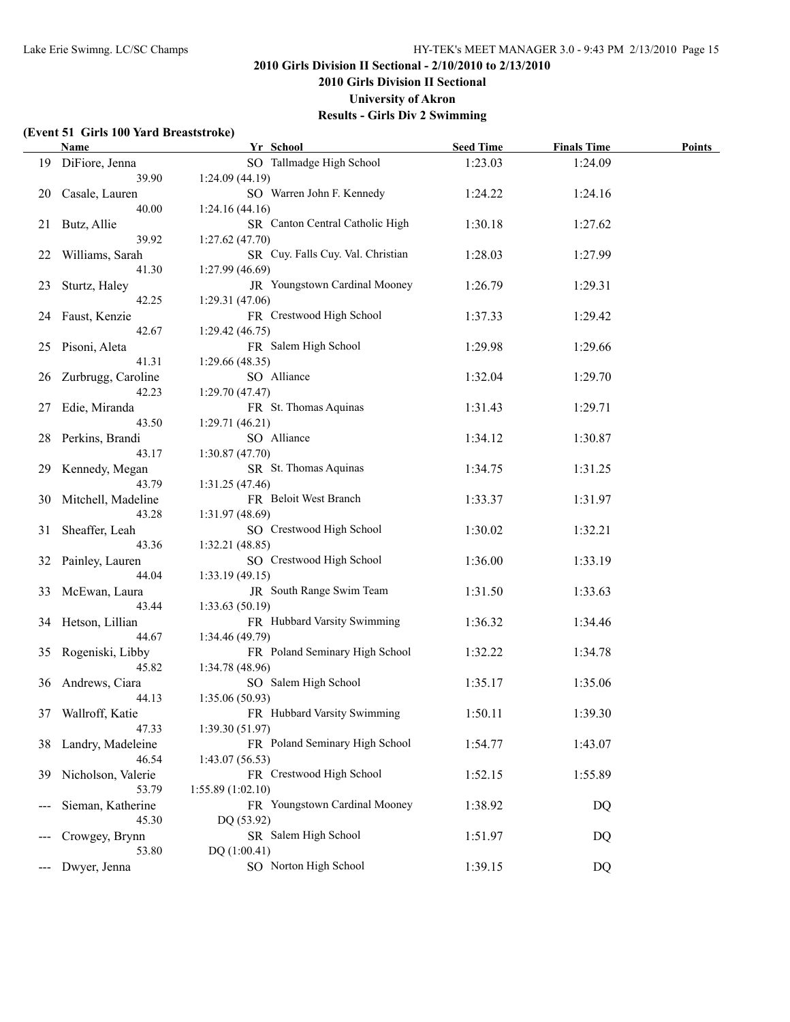**2010 Girls Division II Sectional**

**University of Akron**

**Results - Girls Div 2 Swimming**

## **(Event 51 Girls 100 Yard Breaststroke)**

|    | Name                       | Yr School                                        | <b>Seed Time</b> | <b>Finals Time</b> | <b>Points</b> |
|----|----------------------------|--------------------------------------------------|------------------|--------------------|---------------|
|    | 19 DiFiore, Jenna          | SO Tallmadge High School                         | 1:23.03          | 1:24.09            |               |
|    | 39.90                      | 1:24.09(44.19)                                   |                  |                    |               |
| 20 | Casale, Lauren             | SO Warren John F. Kennedy                        | 1:24.22          | 1:24.16            |               |
|    | 40.00                      | 1:24.16(44.16)                                   |                  |                    |               |
| 21 | Butz, Allie                | SR Canton Central Catholic High                  | 1:30.18          | 1:27.62            |               |
|    | 39.92                      | 1:27.62(47.70)                                   |                  |                    |               |
| 22 | Williams, Sarah            | SR Cuy. Falls Cuy. Val. Christian                | 1:28.03          | 1:27.99            |               |
|    | 41.30                      | 1:27.99(46.69)                                   |                  |                    |               |
| 23 | Sturtz, Haley              | JR Youngstown Cardinal Mooney                    | 1:26.79          | 1:29.31            |               |
|    | 42.25                      | 1:29.31(47.06)                                   |                  |                    |               |
| 24 | Faust, Kenzie              | FR Crestwood High School                         | 1:37.33          | 1:29.42            |               |
|    | 42.67                      | 1:29.42(46.75)<br>FR Salem High School           |                  |                    |               |
| 25 | Pisoni, Aleta<br>41.31     | 1:29.66(48.35)                                   | 1:29.98          | 1:29.66            |               |
| 26 | Zurbrugg, Caroline         | SO Alliance                                      | 1:32.04          | 1:29.70            |               |
|    | 42.23                      | 1:29.70(47.47)                                   |                  |                    |               |
| 27 | Edie, Miranda              | FR St. Thomas Aquinas                            | 1:31.43          | 1:29.71            |               |
|    | 43.50                      | 1:29.71(46.21)                                   |                  |                    |               |
| 28 | Perkins, Brandi            | SO Alliance                                      | 1:34.12          | 1:30.87            |               |
|    | 43.17                      | 1:30.87(47.70)                                   |                  |                    |               |
| 29 | Kennedy, Megan             | SR St. Thomas Aquinas                            | 1:34.75          | 1:31.25            |               |
|    | 43.79                      | 1:31.25(47.46)                                   |                  |                    |               |
| 30 | Mitchell, Madeline         | FR Beloit West Branch                            | 1:33.37          | 1:31.97            |               |
|    | 43.28                      | 1:31.97 (48.69)                                  |                  |                    |               |
| 31 | Sheaffer, Leah             | SO Crestwood High School                         | 1:30.02          | 1:32.21            |               |
|    | 43.36                      | 1:32.21(48.85)                                   |                  |                    |               |
| 32 | Painley, Lauren            | SO Crestwood High School                         | 1:36.00          | 1:33.19            |               |
|    | 44.04                      | 1:33.19(49.15)                                   |                  |                    |               |
| 33 | McEwan, Laura              | JR South Range Swim Team                         | 1:31.50          | 1:33.63            |               |
|    | 43.44                      | 1:33.63(50.19)                                   |                  |                    |               |
|    | 34 Hetson, Lillian         | FR Hubbard Varsity Swimming                      | 1:36.32          | 1:34.46            |               |
|    | 44.67                      | 1:34.46 (49.79)                                  |                  |                    |               |
|    | 35 Rogeniski, Libby        | FR Poland Seminary High School                   | 1:32.22          | 1:34.78            |               |
|    | 45.82                      | 1:34.78(48.96)                                   |                  |                    |               |
|    | 36 Andrews, Ciara          | SO Salem High School                             | 1:35.17          | 1:35.06            |               |
|    | 44.13                      | 1:35.06(50.93)                                   |                  |                    |               |
|    | 37 Wallroff, Katie         | FR Hubbard Varsity Swimming                      | 1:50.11          | 1:39.30            |               |
|    | 47.33                      | 1:39.30(51.97)<br>FR Poland Seminary High School | 1:54.77          |                    |               |
| 38 | Landry, Madeleine<br>46.54 | 1:43.07(56.53)                                   |                  | 1:43.07            |               |
| 39 | Nicholson, Valerie         | FR Crestwood High School                         | 1:52.15          | 1:55.89            |               |
|    | 53.79                      | 1:55.89(1:02.10)                                 |                  |                    |               |
|    | Sieman, Katherine          | FR Youngstown Cardinal Mooney                    | 1:38.92          | DQ                 |               |
|    | 45.30                      | DQ (53.92)                                       |                  |                    |               |
|    | Crowgey, Brynn             | SR Salem High School                             | 1:51.97          | DQ                 |               |
|    | 53.80                      | DQ (1:00.41)                                     |                  |                    |               |
|    | Dwyer, Jenna               | SO Norton High School                            | 1:39.15          | DQ                 |               |
|    |                            |                                                  |                  |                    |               |